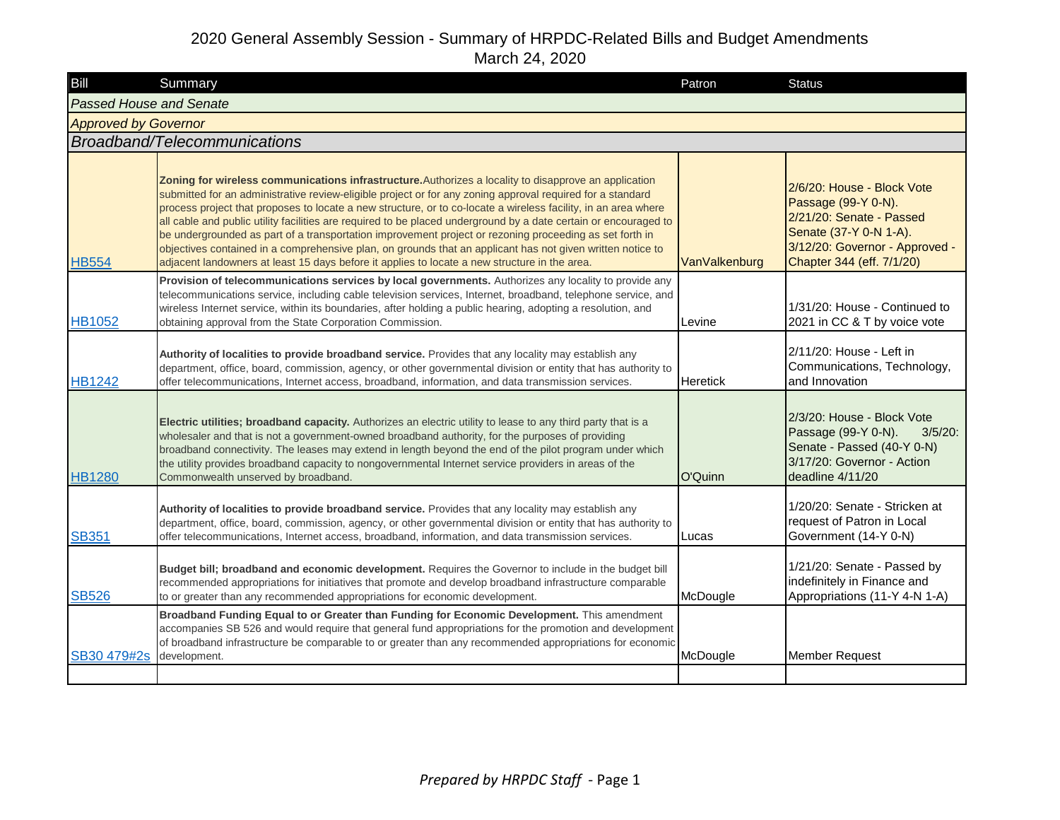| Bill                           | Summary                                                                                                                                                                                                                                                                                                                                                                                                                                                                                                                                                                                                                                                                                                                                                                             | Patron          | <b>Status</b>                                                                                                                                                          |
|--------------------------------|-------------------------------------------------------------------------------------------------------------------------------------------------------------------------------------------------------------------------------------------------------------------------------------------------------------------------------------------------------------------------------------------------------------------------------------------------------------------------------------------------------------------------------------------------------------------------------------------------------------------------------------------------------------------------------------------------------------------------------------------------------------------------------------|-----------------|------------------------------------------------------------------------------------------------------------------------------------------------------------------------|
| <b>Passed House and Senate</b> |                                                                                                                                                                                                                                                                                                                                                                                                                                                                                                                                                                                                                                                                                                                                                                                     |                 |                                                                                                                                                                        |
| <b>Approved by Governor</b>    |                                                                                                                                                                                                                                                                                                                                                                                                                                                                                                                                                                                                                                                                                                                                                                                     |                 |                                                                                                                                                                        |
|                                | Broadband/Telecommunications                                                                                                                                                                                                                                                                                                                                                                                                                                                                                                                                                                                                                                                                                                                                                        |                 |                                                                                                                                                                        |
| <b>HB554</b>                   | Zoning for wireless communications infrastructure. Authorizes a locality to disapprove an application<br>submitted for an administrative review-eligible project or for any zoning approval required for a standard<br>process project that proposes to locate a new structure, or to co-locate a wireless facility, in an area where<br>all cable and public utility facilities are required to be placed underground by a date certain or encouraged to<br>be undergrounded as part of a transportation improvement project or rezoning proceeding as set forth in<br>objectives contained in a comprehensive plan, on grounds that an applicant has not given written notice to<br>adjacent landowners at least 15 days before it applies to locate a new structure in the area. | VanValkenburg   | 2/6/20: House - Block Vote<br>Passage (99-Y 0-N).<br>2/21/20: Senate - Passed<br>Senate (37-Y 0-N 1-A).<br>3/12/20: Governor - Approved -<br>Chapter 344 (eff. 7/1/20) |
| <b>HB1052</b>                  | Provision of telecommunications services by local governments. Authorizes any locality to provide any<br>telecommunications service, including cable television services, Internet, broadband, telephone service, and<br>wireless Internet service, within its boundaries, after holding a public hearing, adopting a resolution, and<br>obtaining approval from the State Corporation Commission.                                                                                                                                                                                                                                                                                                                                                                                  | Levine          | 1/31/20: House - Continued to<br>2021 in CC & T by voice vote                                                                                                          |
| <b>HB1242</b>                  | Authority of localities to provide broadband service. Provides that any locality may establish any<br>department, office, board, commission, agency, or other governmental division or entity that has authority to<br>offer telecommunications, Internet access, broadband, information, and data transmission services.                                                                                                                                                                                                                                                                                                                                                                                                                                                           | <b>Heretick</b> | 2/11/20: House - Left in<br>Communications, Technology,<br>and Innovation                                                                                              |
| <b>HB1280</b>                  | Electric utilities; broadband capacity. Authorizes an electric utility to lease to any third party that is a<br>wholesaler and that is not a government-owned broadband authority, for the purposes of providing<br>broadband connectivity. The leases may extend in length beyond the end of the pilot program under which<br>the utility provides broadband capacity to nongovernmental Internet service providers in areas of the<br>Commonwealth unserved by broadband.                                                                                                                                                                                                                                                                                                         | O'Quinn         | 2/3/20: House - Block Vote<br>Passage (99-Y 0-N).<br>$3/5/20$ :<br>Senate - Passed (40-Y 0-N)<br>3/17/20: Governor - Action<br>deadline 4/11/20                        |
| <b>SB351</b>                   | Authority of localities to provide broadband service. Provides that any locality may establish any<br>department, office, board, commission, agency, or other governmental division or entity that has authority to<br>offer telecommunications, Internet access, broadband, information, and data transmission services.                                                                                                                                                                                                                                                                                                                                                                                                                                                           | Lucas           | 1/20/20: Senate - Stricken at<br>request of Patron in Local<br>Government (14-Y 0-N)                                                                                   |
| <b>SB526</b>                   | Budget bill; broadband and economic development. Requires the Governor to include in the budget bill<br>recommended appropriations for initiatives that promote and develop broadband infrastructure comparable<br>to or greater than any recommended appropriations for economic development.                                                                                                                                                                                                                                                                                                                                                                                                                                                                                      | McDougle        | 1/21/20: Senate - Passed by<br>indefinitely in Finance and<br>Appropriations (11-Y 4-N 1-A)                                                                            |
| SB30 479#2s                    | Broadband Funding Equal to or Greater than Funding for Economic Development. This amendment<br>accompanies SB 526 and would require that general fund appropriations for the promotion and development<br>of broadband infrastructure be comparable to or greater than any recommended appropriations for economic<br>development.                                                                                                                                                                                                                                                                                                                                                                                                                                                  | McDougle        | <b>Member Request</b>                                                                                                                                                  |
|                                |                                                                                                                                                                                                                                                                                                                                                                                                                                                                                                                                                                                                                                                                                                                                                                                     |                 |                                                                                                                                                                        |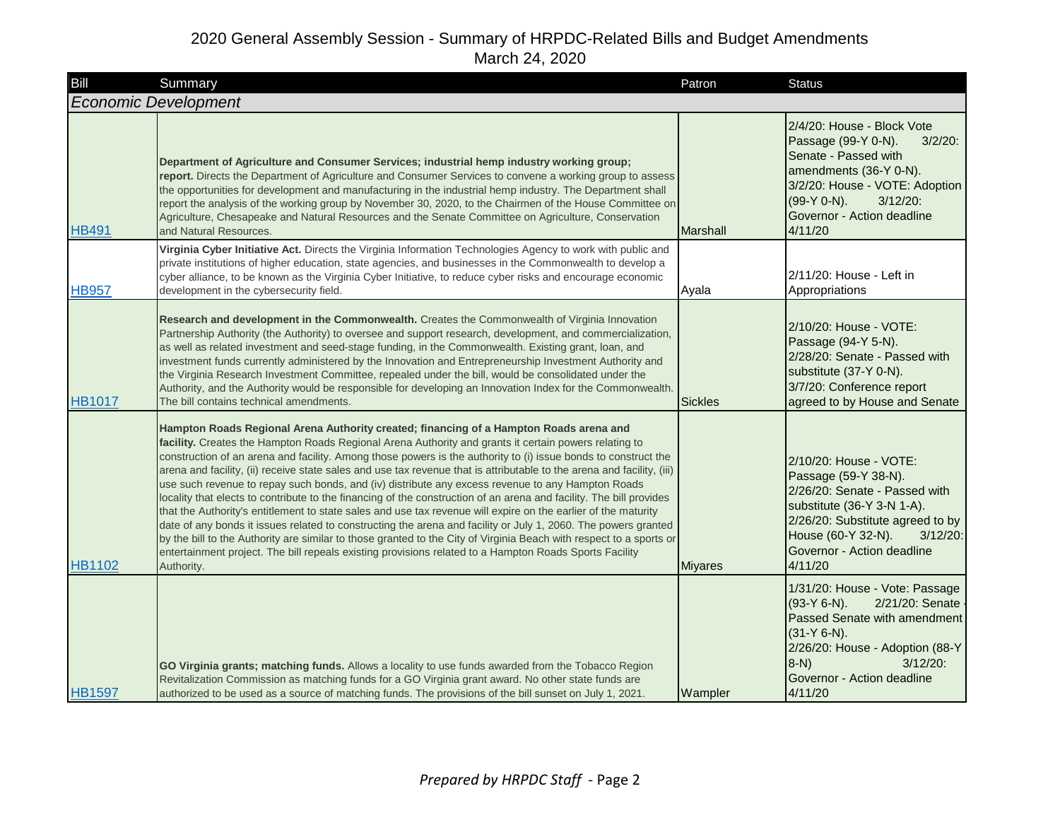| Bill          | Summary                                                                                                                                                                                                                                                                                                                                                                                                                                                                                                                                                                                                                                                                                                                                                                                                                                                                                                                                                                                                                                                                                                                                                    | Patron         | <b>Status</b>                                                                                                                                                                                                                   |
|---------------|------------------------------------------------------------------------------------------------------------------------------------------------------------------------------------------------------------------------------------------------------------------------------------------------------------------------------------------------------------------------------------------------------------------------------------------------------------------------------------------------------------------------------------------------------------------------------------------------------------------------------------------------------------------------------------------------------------------------------------------------------------------------------------------------------------------------------------------------------------------------------------------------------------------------------------------------------------------------------------------------------------------------------------------------------------------------------------------------------------------------------------------------------------|----------------|---------------------------------------------------------------------------------------------------------------------------------------------------------------------------------------------------------------------------------|
|               | <b>Economic Development</b>                                                                                                                                                                                                                                                                                                                                                                                                                                                                                                                                                                                                                                                                                                                                                                                                                                                                                                                                                                                                                                                                                                                                |                |                                                                                                                                                                                                                                 |
| <b>HB491</b>  | Department of Agriculture and Consumer Services; industrial hemp industry working group;<br>report. Directs the Department of Agriculture and Consumer Services to convene a working group to assess<br>the opportunities for development and manufacturing in the industrial hemp industry. The Department shall<br>report the analysis of the working group by November 30, 2020, to the Chairmen of the House Committee on<br>Agriculture, Chesapeake and Natural Resources and the Senate Committee on Agriculture, Conservation<br>and Natural Resources.                                                                                                                                                                                                                                                                                                                                                                                                                                                                                                                                                                                             | Marshall       | 2/4/20: House - Block Vote<br>Passage (99-Y 0-N).<br>$3/2/20$ :<br>Senate - Passed with<br>amendments (36-Y 0-N).<br>3/2/20: House - VOTE: Adoption<br>(99-Y 0-N).<br>$3/12/20$ :<br>Governor - Action deadline<br>4/11/20      |
| <b>HB957</b>  | Virginia Cyber Initiative Act. Directs the Virginia Information Technologies Agency to work with public and<br>private institutions of higher education, state agencies, and businesses in the Commonwealth to develop a<br>cyber alliance, to be known as the Virginia Cyber Initiative, to reduce cyber risks and encourage economic<br>development in the cybersecurity field.                                                                                                                                                                                                                                                                                                                                                                                                                                                                                                                                                                                                                                                                                                                                                                          | Ayala          | 2/11/20: House - Left in<br>Appropriations                                                                                                                                                                                      |
| <b>HB1017</b> | Research and development in the Commonwealth. Creates the Commonwealth of Virginia Innovation<br>Partnership Authority (the Authority) to oversee and support research, development, and commercialization,<br>as well as related investment and seed-stage funding, in the Commonwealth. Existing grant, loan, and<br>investment funds currently administered by the Innovation and Entrepreneurship Investment Authority and<br>the Virginia Research Investment Committee, repealed under the bill, would be consolidated under the<br>Authority, and the Authority would be responsible for developing an Innovation Index for the Commonwealth.<br>The bill contains technical amendments.                                                                                                                                                                                                                                                                                                                                                                                                                                                            | <b>Sickles</b> | 2/10/20: House - VOTE:<br>Passage (94-Y 5-N).<br>2/28/20: Senate - Passed with<br>substitute (37-Y 0-N).<br>3/7/20: Conference report<br>agreed to by House and Senate                                                          |
| <b>HB1102</b> | Hampton Roads Regional Arena Authority created; financing of a Hampton Roads arena and<br>facility. Creates the Hampton Roads Regional Arena Authority and grants it certain powers relating to<br>construction of an arena and facility. Among those powers is the authority to (i) issue bonds to construct the<br>arena and facility, (ii) receive state sales and use tax revenue that is attributable to the arena and facility, (iii)<br>use such revenue to repay such bonds, and (iv) distribute any excess revenue to any Hampton Roads<br>locality that elects to contribute to the financing of the construction of an arena and facility. The bill provides<br>that the Authority's entitlement to state sales and use tax revenue will expire on the earlier of the maturity<br>date of any bonds it issues related to constructing the arena and facility or July 1, 2060. The powers granted<br>by the bill to the Authority are similar to those granted to the City of Virginia Beach with respect to a sports or<br>entertainment project. The bill repeals existing provisions related to a Hampton Roads Sports Facility<br>Authority. | <b>Miyares</b> | 2/10/20: House - VOTE:<br>Passage (59-Y 38-N).<br>2/26/20: Senate - Passed with<br>substitute (36-Y 3-N 1-A).<br>2/26/20: Substitute agreed to by<br>House (60-Y 32-N).<br>$3/12/20$ :<br>Governor - Action deadline<br>4/11/20 |
| <b>HB1597</b> | GO Virginia grants; matching funds. Allows a locality to use funds awarded from the Tobacco Region<br>Revitalization Commission as matching funds for a GO Virginia grant award. No other state funds are<br>authorized to be used as a source of matching funds. The provisions of the bill sunset on July 1, 2021.                                                                                                                                                                                                                                                                                                                                                                                                                                                                                                                                                                                                                                                                                                                                                                                                                                       | Wampler        | 1/31/20: House - Vote: Passage<br>$(93-Y 6-N)$ .<br>2/21/20: Senate<br>Passed Senate with amendment<br>$(31-Y 6-N)$ .<br>2/26/20: House - Adoption (88-Y<br>$8-N$<br>$3/12/20$ :<br>Governor - Action deadline<br>4/11/20       |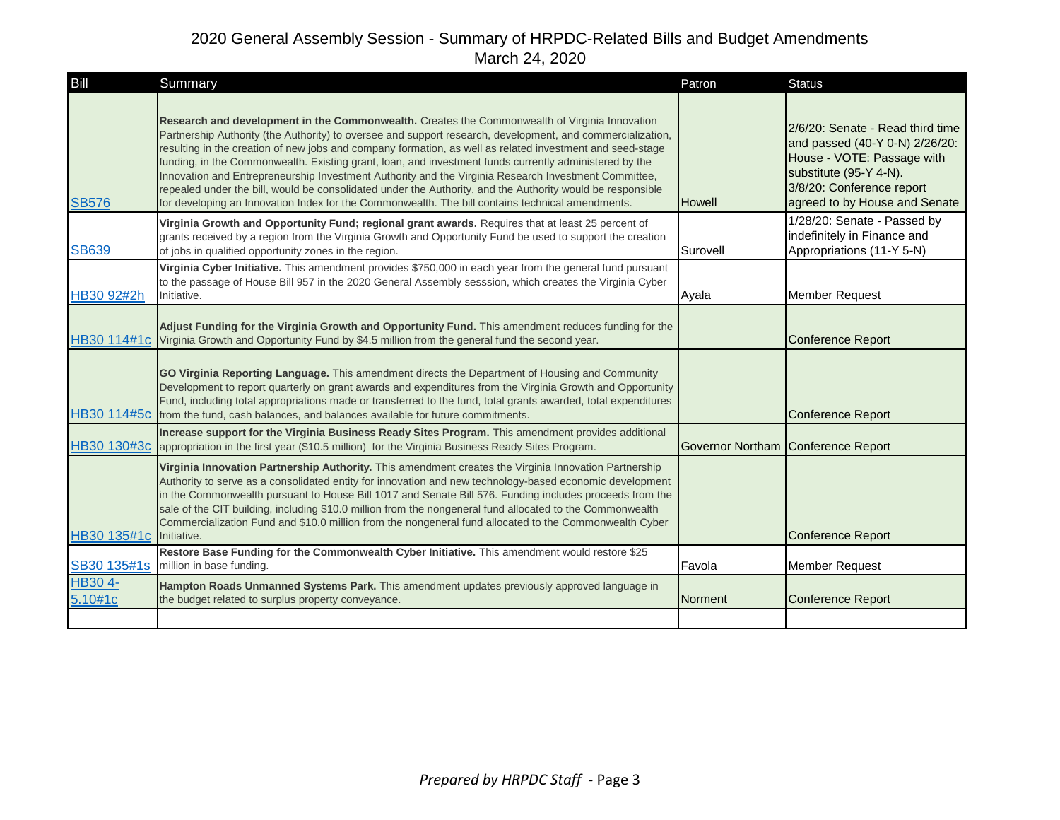| Bill               | Summary                                                                                                                                                                                                                                                                                                                                                                                                                                                                                                                                                                                                                                                                                                                                                      | Patron        | <b>Status</b>                                                                                                                                                                            |
|--------------------|--------------------------------------------------------------------------------------------------------------------------------------------------------------------------------------------------------------------------------------------------------------------------------------------------------------------------------------------------------------------------------------------------------------------------------------------------------------------------------------------------------------------------------------------------------------------------------------------------------------------------------------------------------------------------------------------------------------------------------------------------------------|---------------|------------------------------------------------------------------------------------------------------------------------------------------------------------------------------------------|
| <b>SB576</b>       | Research and development in the Commonwealth. Creates the Commonwealth of Virginia Innovation<br>Partnership Authority (the Authority) to oversee and support research, development, and commercialization,<br>resulting in the creation of new jobs and company formation, as well as related investment and seed-stage<br>funding, in the Commonwealth. Existing grant, loan, and investment funds currently administered by the<br>Innovation and Entrepreneurship Investment Authority and the Virginia Research Investment Committee,<br>repealed under the bill, would be consolidated under the Authority, and the Authority would be responsible<br>for developing an Innovation Index for the Commonwealth. The bill contains technical amendments. | <b>Howell</b> | 2/6/20: Senate - Read third time<br>and passed (40-Y 0-N) 2/26/20:<br>House - VOTE: Passage with<br>substitute (95-Y 4-N).<br>3/8/20: Conference report<br>agreed to by House and Senate |
| <b>SB639</b>       | Virginia Growth and Opportunity Fund; regional grant awards. Requires that at least 25 percent of<br>grants received by a region from the Virginia Growth and Opportunity Fund be used to support the creation<br>of jobs in qualified opportunity zones in the region.                                                                                                                                                                                                                                                                                                                                                                                                                                                                                      | Surovell      | 1/28/20: Senate - Passed by<br>indefinitely in Finance and<br>Appropriations (11-Y 5-N)                                                                                                  |
| HB30 92#2h         | Virginia Cyber Initiative. This amendment provides \$750,000 in each year from the general fund pursuant<br>to the passage of House Bill 957 in the 2020 General Assembly sesssion, which creates the Virginia Cyber<br>Initiative.                                                                                                                                                                                                                                                                                                                                                                                                                                                                                                                          | Ayala         | <b>Member Request</b>                                                                                                                                                                    |
|                    | Adjust Funding for the Virginia Growth and Opportunity Fund. This amendment reduces funding for the<br>HB30 114#1c Virginia Growth and Opportunity Fund by \$4.5 million from the general fund the second year.                                                                                                                                                                                                                                                                                                                                                                                                                                                                                                                                              |               | <b>Conference Report</b>                                                                                                                                                                 |
|                    | GO Virginia Reporting Language. This amendment directs the Department of Housing and Community<br>Development to report quarterly on grant awards and expenditures from the Virginia Growth and Opportunity<br>Fund, including total appropriations made or transferred to the fund, total grants awarded, total expenditures<br>HB30 114#5c from the fund, cash balances, and balances available for future commitments.                                                                                                                                                                                                                                                                                                                                    |               | <b>Conference Report</b>                                                                                                                                                                 |
| HB30 130#3c        | Increase support for the Virginia Business Ready Sites Program. This amendment provides additional<br>appropriation in the first year (\$10.5 million) for the Virginia Business Ready Sites Program.                                                                                                                                                                                                                                                                                                                                                                                                                                                                                                                                                        |               | Governor Northam Conference Report                                                                                                                                                       |
| HB30 135#1c        | Virginia Innovation Partnership Authority. This amendment creates the Virginia Innovation Partnership<br>Authority to serve as a consolidated entity for innovation and new technology-based economic development<br>in the Commonwealth pursuant to House Bill 1017 and Senate Bill 576. Funding includes proceeds from the<br>sale of the CIT building, including \$10.0 million from the nongeneral fund allocated to the Commonwealth<br>Commercialization Fund and \$10.0 million from the nongeneral fund allocated to the Commonwealth Cyber<br>Initiative.                                                                                                                                                                                           |               | <b>Conference Report</b>                                                                                                                                                                 |
| SB30 135#1s        | Restore Base Funding for the Commonwealth Cyber Initiative. This amendment would restore \$25<br>million in base funding.                                                                                                                                                                                                                                                                                                                                                                                                                                                                                                                                                                                                                                    | Favola        | <b>Member Request</b>                                                                                                                                                                    |
| HB30 4-<br>5.10#1c | Hampton Roads Unmanned Systems Park. This amendment updates previously approved language in<br>the budget related to surplus property conveyance.                                                                                                                                                                                                                                                                                                                                                                                                                                                                                                                                                                                                            | Norment       | <b>Conference Report</b>                                                                                                                                                                 |
|                    |                                                                                                                                                                                                                                                                                                                                                                                                                                                                                                                                                                                                                                                                                                                                                              |               |                                                                                                                                                                                          |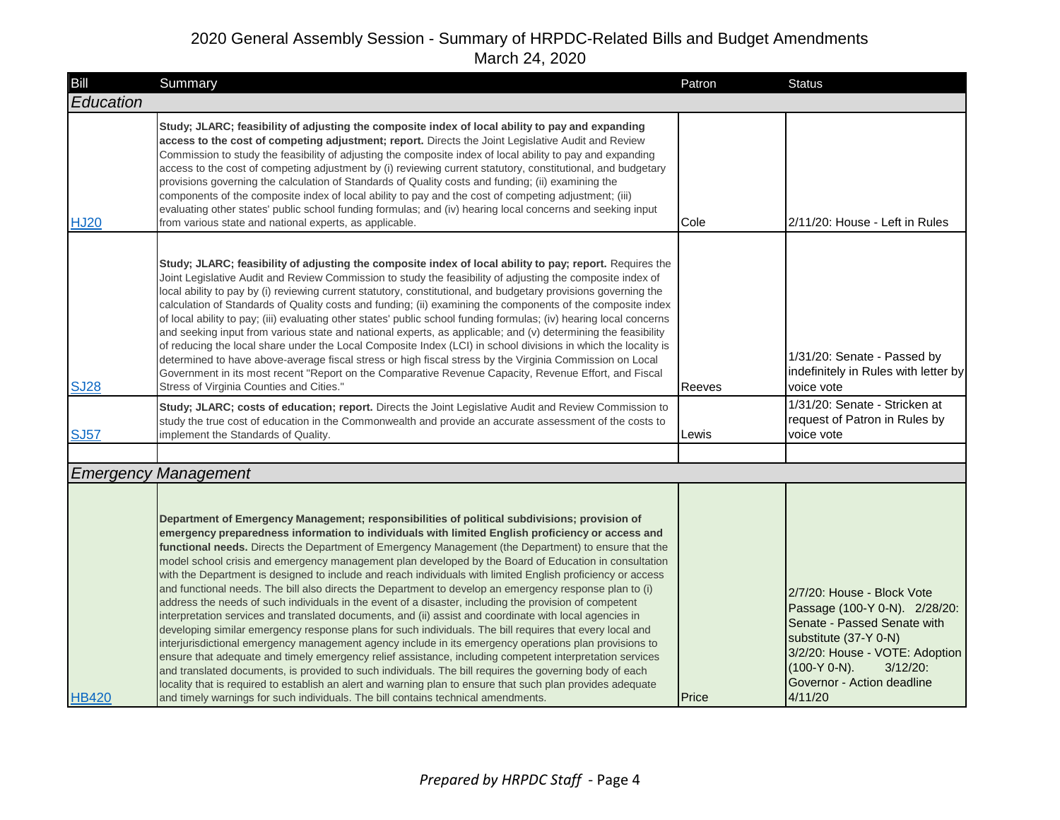| Bill         | Summary                                                                                                                                                                                                                                                                                                                                                                                                                                                                                                                                                                                                                                                                                                                                                                                                                                                                                                                                                                                                                                                                                                                                                                                                                                                                                                                                                                                                                                                                                                           | Patron | <b>Status</b>                                                                                                                                                                                                                    |
|--------------|-------------------------------------------------------------------------------------------------------------------------------------------------------------------------------------------------------------------------------------------------------------------------------------------------------------------------------------------------------------------------------------------------------------------------------------------------------------------------------------------------------------------------------------------------------------------------------------------------------------------------------------------------------------------------------------------------------------------------------------------------------------------------------------------------------------------------------------------------------------------------------------------------------------------------------------------------------------------------------------------------------------------------------------------------------------------------------------------------------------------------------------------------------------------------------------------------------------------------------------------------------------------------------------------------------------------------------------------------------------------------------------------------------------------------------------------------------------------------------------------------------------------|--------|----------------------------------------------------------------------------------------------------------------------------------------------------------------------------------------------------------------------------------|
| Education    |                                                                                                                                                                                                                                                                                                                                                                                                                                                                                                                                                                                                                                                                                                                                                                                                                                                                                                                                                                                                                                                                                                                                                                                                                                                                                                                                                                                                                                                                                                                   |        |                                                                                                                                                                                                                                  |
| <b>HJ20</b>  | Study; JLARC; feasibility of adjusting the composite index of local ability to pay and expanding<br>access to the cost of competing adjustment; report. Directs the Joint Legislative Audit and Review<br>Commission to study the feasibility of adjusting the composite index of local ability to pay and expanding<br>access to the cost of competing adjustment by (i) reviewing current statutory, constitutional, and budgetary<br>provisions governing the calculation of Standards of Quality costs and funding; (ii) examining the<br>components of the composite index of local ability to pay and the cost of competing adjustment; (iii)<br>evaluating other states' public school funding formulas; and (iv) hearing local concerns and seeking input<br>from various state and national experts, as applicable.                                                                                                                                                                                                                                                                                                                                                                                                                                                                                                                                                                                                                                                                                      | Cole   | 2/11/20: House - Left in Rules                                                                                                                                                                                                   |
| <b>SJ28</b>  | Study; JLARC; feasibility of adjusting the composite index of local ability to pay; report. Requires the<br>Joint Legislative Audit and Review Commission to study the feasibility of adjusting the composite index of<br>local ability to pay by (i) reviewing current statutory, constitutional, and budgetary provisions governing the<br>calculation of Standards of Quality costs and funding; (ii) examining the components of the composite index<br>of local ability to pay; (iii) evaluating other states' public school funding formulas; (iv) hearing local concerns<br>and seeking input from various state and national experts, as applicable; and (v) determining the feasibility<br>of reducing the local share under the Local Composite Index (LCI) in school divisions in which the locality is<br>determined to have above-average fiscal stress or high fiscal stress by the Virginia Commission on Local<br>Government in its most recent "Report on the Comparative Revenue Capacity, Revenue Effort, and Fiscal<br>Stress of Virginia Counties and Cities."                                                                                                                                                                                                                                                                                                                                                                                                                               | Reeves | 1/31/20: Senate - Passed by<br>indefinitely in Rules with letter by<br>voice vote                                                                                                                                                |
| <b>SJ57</b>  | Study; JLARC; costs of education; report. Directs the Joint Legislative Audit and Review Commission to<br>study the true cost of education in the Commonwealth and provide an accurate assessment of the costs to<br>implement the Standards of Quality.                                                                                                                                                                                                                                                                                                                                                                                                                                                                                                                                                                                                                                                                                                                                                                                                                                                                                                                                                                                                                                                                                                                                                                                                                                                          | Lewis  | 1/31/20: Senate - Stricken at<br>request of Patron in Rules by<br>voice vote                                                                                                                                                     |
|              |                                                                                                                                                                                                                                                                                                                                                                                                                                                                                                                                                                                                                                                                                                                                                                                                                                                                                                                                                                                                                                                                                                                                                                                                                                                                                                                                                                                                                                                                                                                   |        |                                                                                                                                                                                                                                  |
|              | <b>Emergency Management</b>                                                                                                                                                                                                                                                                                                                                                                                                                                                                                                                                                                                                                                                                                                                                                                                                                                                                                                                                                                                                                                                                                                                                                                                                                                                                                                                                                                                                                                                                                       |        |                                                                                                                                                                                                                                  |
| <b>HB420</b> | Department of Emergency Management; responsibilities of political subdivisions; provision of<br>emergency preparedness information to individuals with limited English proficiency or access and<br>functional needs. Directs the Department of Emergency Management (the Department) to ensure that the<br>model school crisis and emergency management plan developed by the Board of Education in consultation<br>with the Department is designed to include and reach individuals with limited English proficiency or access<br>and functional needs. The bill also directs the Department to develop an emergency response plan to (i)<br>address the needs of such individuals in the event of a disaster, including the provision of competent<br>interpretation services and translated documents, and (ii) assist and coordinate with local agencies in<br>developing similar emergency response plans for such individuals. The bill requires that every local and<br>interjurisdictional emergency management agency include in its emergency operations plan provisions to<br>ensure that adequate and timely emergency relief assistance, including competent interpretation services<br>and translated documents, is provided to such individuals. The bill requires the governing body of each<br>locality that is required to establish an alert and warning plan to ensure that such plan provides adequate<br>and timely warnings for such individuals. The bill contains technical amendments. | Price  | 2/7/20: House - Block Vote<br>Passage (100-Y 0-N). 2/28/20:<br>Senate - Passed Senate with<br>substitute (37-Y 0-N)<br>3/2/20: House - VOTE: Adoption<br>$(100-Y 0-N)$ .<br>$3/12/20$ :<br>Governor - Action deadline<br>4/11/20 |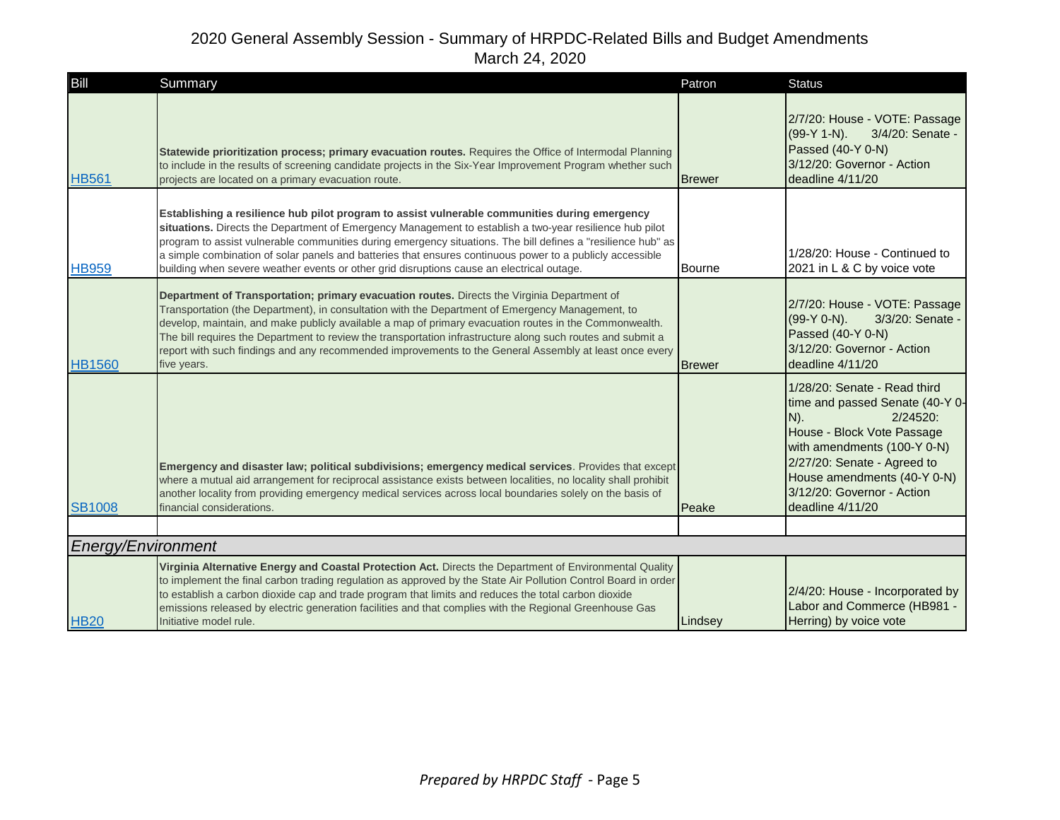| Bill               | Summary                                                                                                                                                                                                                                                                                                                                                                                                                                                                                                                                           | Patron        | <b>Status</b>                                                                                                                                                                                                                                                         |
|--------------------|---------------------------------------------------------------------------------------------------------------------------------------------------------------------------------------------------------------------------------------------------------------------------------------------------------------------------------------------------------------------------------------------------------------------------------------------------------------------------------------------------------------------------------------------------|---------------|-----------------------------------------------------------------------------------------------------------------------------------------------------------------------------------------------------------------------------------------------------------------------|
| <b>HB561</b>       | Statewide prioritization process; primary evacuation routes. Requires the Office of Intermodal Planning<br>to include in the results of screening candidate projects in the Six-Year Improvement Program whether such<br>projects are located on a primary evacuation route.                                                                                                                                                                                                                                                                      | <b>Brewer</b> | 2/7/20: House - VOTE: Passage<br>$(99-Y 1-N)$ .<br>3/4/20: Senate -<br>Passed (40-Y 0-N)<br>3/12/20: Governor - Action<br>deadline 4/11/20                                                                                                                            |
| <b>HB959</b>       | Establishing a resilience hub pilot program to assist vulnerable communities during emergency<br>situations. Directs the Department of Emergency Management to establish a two-year resilience hub pilot<br>program to assist vulnerable communities during emergency situations. The bill defines a "resilience hub" as<br>a simple combination of solar panels and batteries that ensures continuous power to a publicly accessible<br>building when severe weather events or other grid disruptions cause an electrical outage.                | Bourne        | 1/28/20: House - Continued to<br>2021 in L & C by voice vote                                                                                                                                                                                                          |
| <b>HB1560</b>      | Department of Transportation; primary evacuation routes. Directs the Virginia Department of<br>Transportation (the Department), in consultation with the Department of Emergency Management, to<br>develop, maintain, and make publicly available a map of primary evacuation routes in the Commonwealth.<br>The bill requires the Department to review the transportation infrastructure along such routes and submit a<br>report with such findings and any recommended improvements to the General Assembly at least once every<br>five years. | <b>Brewer</b> | 2/7/20: House - VOTE: Passage<br>(99-Y 0-N).<br>3/3/20: Senate -<br>Passed (40-Y 0-N)<br>3/12/20: Governor - Action<br>deadline 4/11/20                                                                                                                               |
| <b>SB1008</b>      | Emergency and disaster law; political subdivisions; emergency medical services. Provides that except<br>where a mutual aid arrangement for reciprocal assistance exists between localities, no locality shall prohibit<br>another locality from providing emergency medical services across local boundaries solely on the basis of<br>financial considerations.                                                                                                                                                                                  | Peake         | 1/28/20: Senate - Read third<br>time and passed Senate (40-Y 0-<br>$N$ ).<br>$2/24520$ :<br>House - Block Vote Passage<br>with amendments (100-Y 0-N)<br>2/27/20: Senate - Agreed to<br>House amendments (40-Y 0-N)<br>3/12/20: Governor - Action<br>deadline 4/11/20 |
|                    |                                                                                                                                                                                                                                                                                                                                                                                                                                                                                                                                                   |               |                                                                                                                                                                                                                                                                       |
| Energy/Environment |                                                                                                                                                                                                                                                                                                                                                                                                                                                                                                                                                   |               |                                                                                                                                                                                                                                                                       |
| <b>HB20</b>        | Virginia Alternative Energy and Coastal Protection Act. Directs the Department of Environmental Quality<br>to implement the final carbon trading regulation as approved by the State Air Pollution Control Board in order<br>to establish a carbon dioxide cap and trade program that limits and reduces the total carbon dioxide<br>emissions released by electric generation facilities and that complies with the Regional Greenhouse Gas<br>Initiative model rule.                                                                            | Lindsey       | 2/4/20: House - Incorporated by<br>Labor and Commerce (HB981 -<br>Herring) by voice vote                                                                                                                                                                              |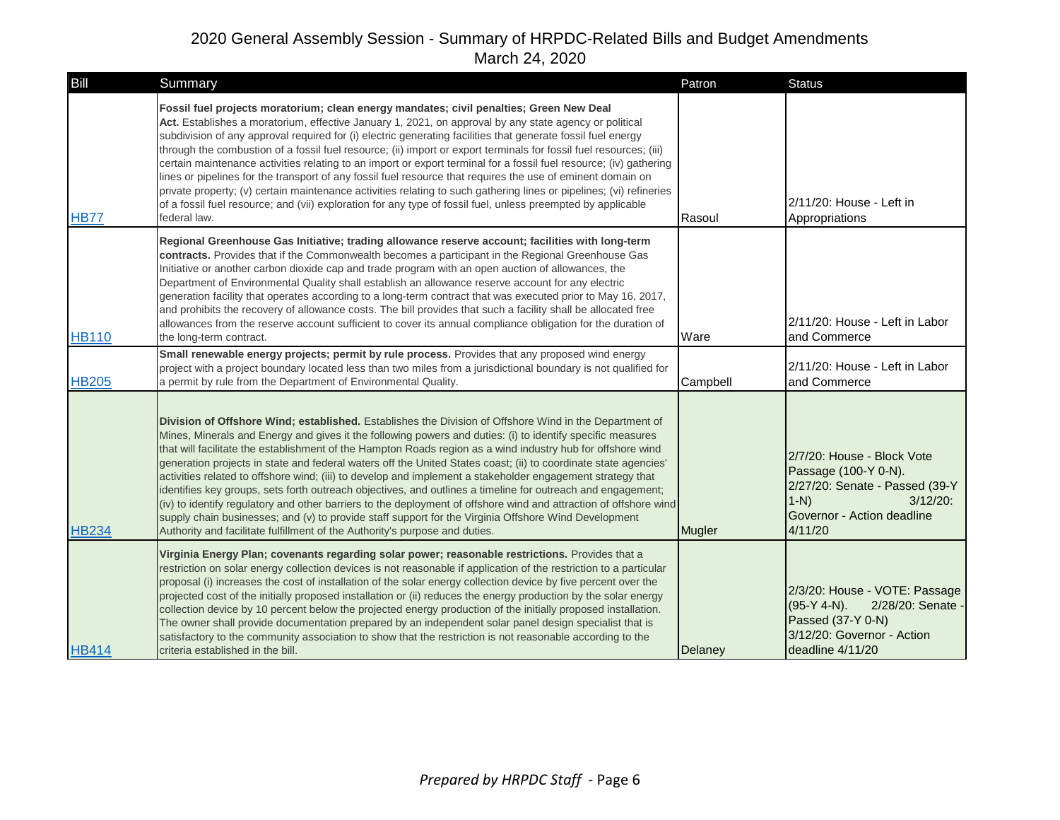| Bill         | Summary                                                                                                                                                                                                                                                                                                                                                                                                                                                                                                                                                                                                                                                                                                                                                                                                                                                                                                                                                                                         | Patron   | <b>Status</b>                                                                                                                                         |
|--------------|-------------------------------------------------------------------------------------------------------------------------------------------------------------------------------------------------------------------------------------------------------------------------------------------------------------------------------------------------------------------------------------------------------------------------------------------------------------------------------------------------------------------------------------------------------------------------------------------------------------------------------------------------------------------------------------------------------------------------------------------------------------------------------------------------------------------------------------------------------------------------------------------------------------------------------------------------------------------------------------------------|----------|-------------------------------------------------------------------------------------------------------------------------------------------------------|
| <b>HB77</b>  | Fossil fuel projects moratorium; clean energy mandates; civil penalties; Green New Deal<br>Act. Establishes a moratorium, effective January 1, 2021, on approval by any state agency or political<br>subdivision of any approval required for (i) electric generating facilities that generate fossil fuel energy<br>through the combustion of a fossil fuel resource; (ii) import or export terminals for fossil fuel resources; (iii)<br>certain maintenance activities relating to an import or export terminal for a fossil fuel resource; (iv) gathering<br>lines or pipelines for the transport of any fossil fuel resource that requires the use of eminent domain on<br>private property; (v) certain maintenance activities relating to such gathering lines or pipelines; (vi) refineries<br>of a fossil fuel resource; and (vii) exploration for any type of fossil fuel, unless preempted by applicable<br>federal law.                                                             | Rasoul   | 2/11/20: House - Left in<br>Appropriations                                                                                                            |
| <b>HB110</b> | Regional Greenhouse Gas Initiative; trading allowance reserve account; facilities with long-term<br>contracts. Provides that if the Commonwealth becomes a participant in the Regional Greenhouse Gas<br>Initiative or another carbon dioxide cap and trade program with an open auction of allowances, the<br>Department of Environmental Quality shall establish an allowance reserve account for any electric<br>generation facility that operates according to a long-term contract that was executed prior to May 16, 2017,<br>and prohibits the recovery of allowance costs. The bill provides that such a facility shall be allocated free<br>allowances from the reserve account sufficient to cover its annual compliance obligation for the duration of<br>the long-term contract.                                                                                                                                                                                                    | Ware     | 2/11/20: House - Left in Labor<br>and Commerce                                                                                                        |
| <b>HB205</b> | Small renewable energy projects; permit by rule process. Provides that any proposed wind energy<br>project with a project boundary located less than two miles from a jurisdictional boundary is not qualified for<br>a permit by rule from the Department of Environmental Quality.                                                                                                                                                                                                                                                                                                                                                                                                                                                                                                                                                                                                                                                                                                            | Campbell | 2/11/20: House - Left in Labor<br>and Commerce                                                                                                        |
| <b>HB234</b> | Division of Offshore Wind; established. Establishes the Division of Offshore Wind in the Department of<br>Mines, Minerals and Energy and gives it the following powers and duties: (i) to identify specific measures<br>that will facilitate the establishment of the Hampton Roads region as a wind industry hub for offshore wind<br>generation projects in state and federal waters off the United States coast; (ii) to coordinate state agencies'<br>activities related to offshore wind; (iii) to develop and implement a stakeholder engagement strategy that<br>identifies key groups, sets forth outreach objectives, and outlines a timeline for outreach and engagement;<br>(iv) to identify regulatory and other barriers to the deployment of offshore wind and attraction of offshore wind<br>supply chain businesses; and (v) to provide staff support for the Virginia Offshore Wind Development<br>Authority and facilitate fulfillment of the Authority's purpose and duties. | Mugler   | 2/7/20: House - Block Vote<br>Passage (100-Y 0-N).<br>2/27/20: Senate - Passed (39-Y<br>$1-N$<br>$3/12/20$ :<br>Governor - Action deadline<br>4/11/20 |
| <b>HB414</b> | Virginia Energy Plan; covenants regarding solar power; reasonable restrictions. Provides that a<br>restriction on solar energy collection devices is not reasonable if application of the restriction to a particular<br>proposal (i) increases the cost of installation of the solar energy collection device by five percent over the<br>projected cost of the initially proposed installation or (ii) reduces the energy production by the solar energy<br>collection device by 10 percent below the projected energy production of the initially proposed installation.<br>The owner shall provide documentation prepared by an independent solar panel design specialist that is<br>satisfactory to the community association to show that the restriction is not reasonable according to the<br>criteria established in the bill.                                                                                                                                                         | Delaney  | 2/3/20: House - VOTE: Passage<br>$(95-Y 4-N)$ .<br>2/28/20: Senate -<br>Passed (37-Y 0-N)<br>3/12/20: Governor - Action<br>deadline 4/11/20           |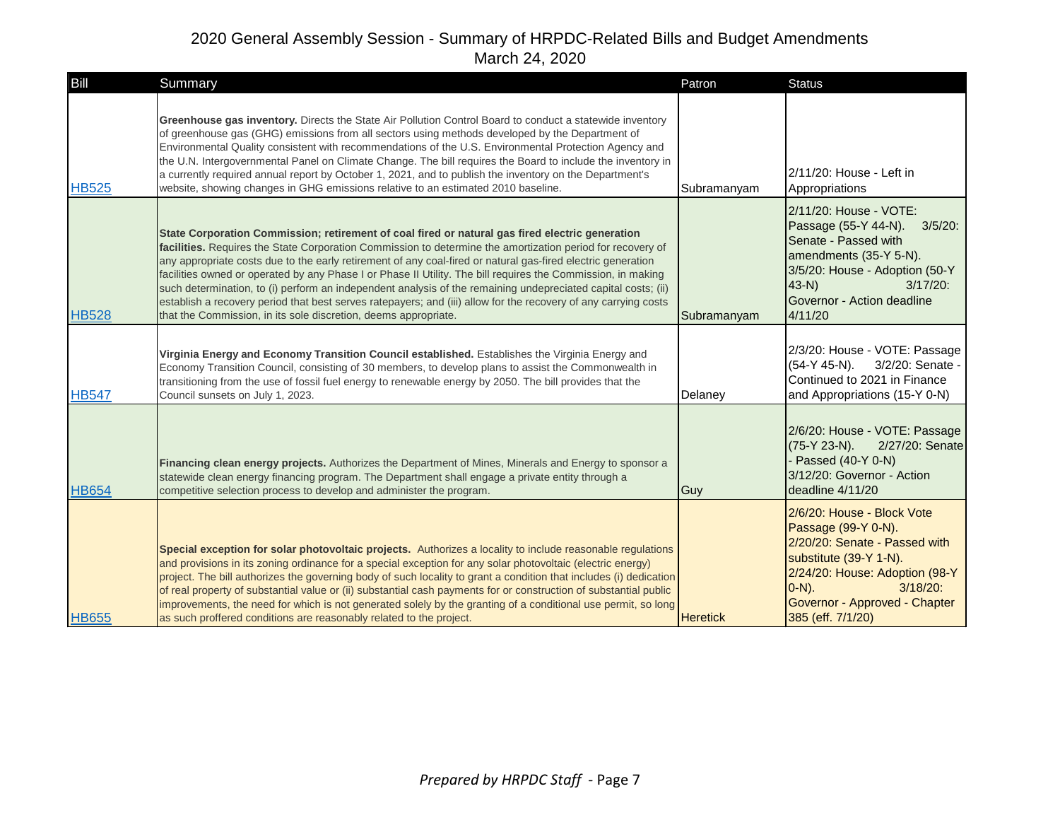| Bill         | Summary                                                                                                                                                                                                                                                                                                                                                                                                                                                                                                                                                                                                                                                                                                                                              | Patron          | <b>Status</b>                                                                                                                                                                                                                    |
|--------------|------------------------------------------------------------------------------------------------------------------------------------------------------------------------------------------------------------------------------------------------------------------------------------------------------------------------------------------------------------------------------------------------------------------------------------------------------------------------------------------------------------------------------------------------------------------------------------------------------------------------------------------------------------------------------------------------------------------------------------------------------|-----------------|----------------------------------------------------------------------------------------------------------------------------------------------------------------------------------------------------------------------------------|
| <b>HB525</b> | Greenhouse gas inventory. Directs the State Air Pollution Control Board to conduct a statewide inventory<br>of greenhouse gas (GHG) emissions from all sectors using methods developed by the Department of<br>Environmental Quality consistent with recommendations of the U.S. Environmental Protection Agency and<br>the U.N. Intergovernmental Panel on Climate Change. The bill requires the Board to include the inventory in<br>a currently required annual report by October 1, 2021, and to publish the inventory on the Department's<br>website, showing changes in GHG emissions relative to an estimated 2010 baseline.                                                                                                                  | Subramanyam     | 2/11/20: House - Left in<br>Appropriations                                                                                                                                                                                       |
| <b>HB528</b> | State Corporation Commission; retirement of coal fired or natural gas fired electric generation<br>facilities. Requires the State Corporation Commission to determine the amortization period for recovery of<br>any appropriate costs due to the early retirement of any coal-fired or natural gas-fired electric generation<br>facilities owned or operated by any Phase I or Phase II Utility. The bill requires the Commission, in making<br>such determination, to (i) perform an independent analysis of the remaining undepreciated capital costs; (ii)<br>establish a recovery period that best serves ratepayers; and (iii) allow for the recovery of any carrying costs<br>that the Commission, in its sole discretion, deems appropriate. | Subramanyam     | 2/11/20: House - VOTE:<br>Passage (55-Y 44-N).<br>$3/5/20$ :<br>Senate - Passed with<br>amendments (35-Y 5-N).<br>3/5/20: House - Adoption (50-Y<br>$43-N$<br>$3/17/20$ :<br>Governor - Action deadline<br>4/11/20               |
| <b>HB547</b> | Virginia Energy and Economy Transition Council established. Establishes the Virginia Energy and<br>Economy Transition Council, consisting of 30 members, to develop plans to assist the Commonwealth in<br>transitioning from the use of fossil fuel energy to renewable energy by 2050. The bill provides that the<br>Council sunsets on July 1, 2023.                                                                                                                                                                                                                                                                                                                                                                                              | Delaney         | 2/3/20: House - VOTE: Passage<br>3/2/20: Senate -<br>$(54-Y 45-N)$ .<br>Continued to 2021 in Finance<br>and Appropriations (15-Y 0-N)                                                                                            |
| <b>HB654</b> | Financing clean energy projects. Authorizes the Department of Mines, Minerals and Energy to sponsor a<br>statewide clean energy financing program. The Department shall engage a private entity through a<br>competitive selection process to develop and administer the program.                                                                                                                                                                                                                                                                                                                                                                                                                                                                    | Guy             | 2/6/20: House - VOTE: Passage<br>(75-Y 23-N).<br>2/27/20: Senate<br>- Passed (40-Y 0-N)<br>3/12/20: Governor - Action<br>deadline 4/11/20                                                                                        |
| <b>HB655</b> | Special exception for solar photovoltaic projects. Authorizes a locality to include reasonable regulations<br>and provisions in its zoning ordinance for a special exception for any solar photovoltaic (electric energy)<br>project. The bill authorizes the governing body of such locality to grant a condition that includes (i) dedication<br>of real property of substantial value or (ii) substantial cash payments for or construction of substantial public<br>improvements, the need for which is not generated solely by the granting of a conditional use permit, so long<br>as such proffered conditions are reasonably related to the project.                                                                                         | <b>Heretick</b> | 2/6/20: House - Block Vote<br>Passage (99-Y 0-N).<br>2/20/20: Senate - Passed with<br>substitute (39-Y 1-N).<br>2/24/20: House: Adoption (98-Y<br>$[0-N)$ .<br>$3/18/20$ :<br>Governor - Approved - Chapter<br>385 (eff. 7/1/20) |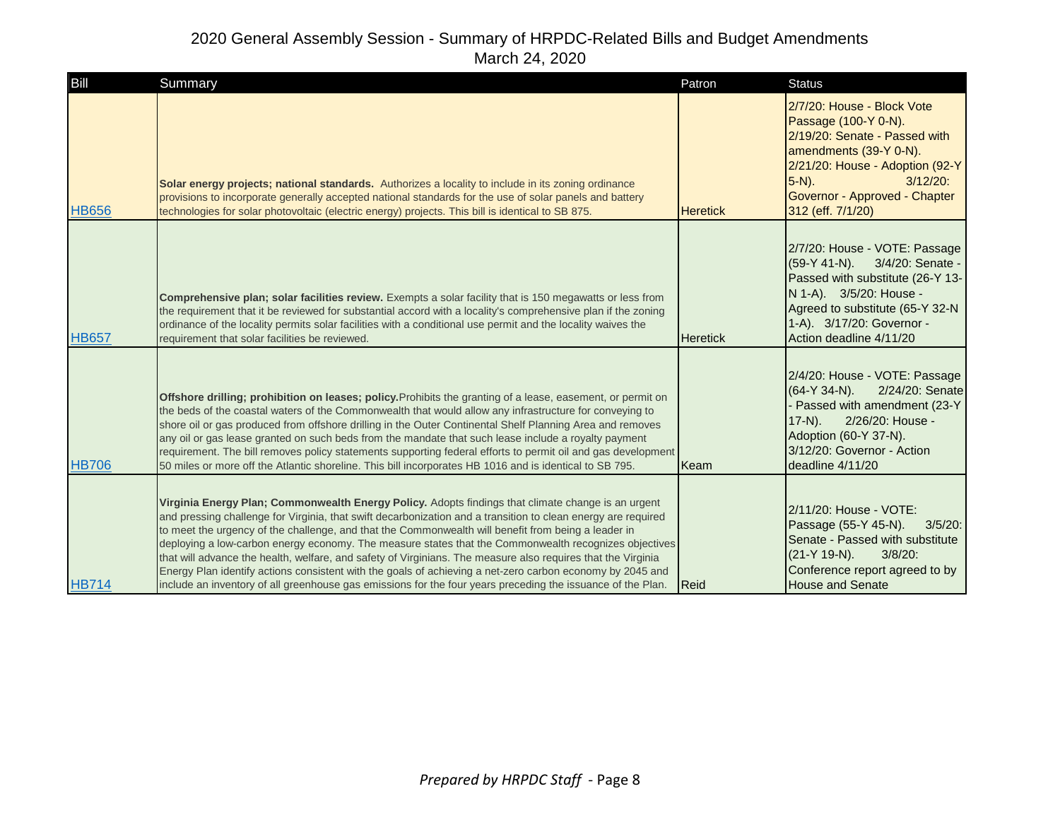| Bill         | Summary                                                                                                                                                                                                                                                                                                                                                                                                                                                                                                                                                                                                                                                                                                                                                                         | Patron          | <b>Status</b>                                                                                                                                                                                                                     |
|--------------|---------------------------------------------------------------------------------------------------------------------------------------------------------------------------------------------------------------------------------------------------------------------------------------------------------------------------------------------------------------------------------------------------------------------------------------------------------------------------------------------------------------------------------------------------------------------------------------------------------------------------------------------------------------------------------------------------------------------------------------------------------------------------------|-----------------|-----------------------------------------------------------------------------------------------------------------------------------------------------------------------------------------------------------------------------------|
| <b>HB656</b> | Solar energy projects; national standards. Authorizes a locality to include in its zoning ordinance<br>provisions to incorporate generally accepted national standards for the use of solar panels and battery<br>technologies for solar photovoltaic (electric energy) projects. This bill is identical to SB 875.                                                                                                                                                                                                                                                                                                                                                                                                                                                             | <b>Heretick</b> | 2/7/20: House - Block Vote<br>Passage (100-Y 0-N).<br>2/19/20: Senate - Passed with<br>amendments (39-Y 0-N).<br>2/21/20: House - Adoption (92-Y<br>$5-N$ ).<br>$3/12/20$ :<br>Governor - Approved - Chapter<br>312 (eff. 7/1/20) |
| <b>HB657</b> | <b>Comprehensive plan; solar facilities review.</b> Exempts a solar facility that is 150 megawatts or less from<br>the requirement that it be reviewed for substantial accord with a locality's comprehensive plan if the zoning<br>ordinance of the locality permits solar facilities with a conditional use permit and the locality waives the<br>requirement that solar facilities be reviewed.                                                                                                                                                                                                                                                                                                                                                                              | <b>Heretick</b> | 2/7/20: House - VOTE: Passage<br>(59-Y 41-N). 3/4/20: Senate -<br>Passed with substitute (26-Y 13-<br>N 1-A). 3/5/20: House -<br>Agreed to substitute (65-Y 32-N<br>1-A). 3/17/20: Governor -<br>Action deadline 4/11/20          |
| <b>HB706</b> | Offshore drilling; prohibition on leases; policy. Prohibits the granting of a lease, easement, or permit on<br>the beds of the coastal waters of the Commonwealth that would allow any infrastructure for conveying to<br>shore oil or gas produced from offshore drilling in the Outer Continental Shelf Planning Area and removes<br>any oil or gas lease granted on such beds from the mandate that such lease include a royalty payment<br>requirement. The bill removes policy statements supporting federal efforts to permit oil and gas development<br>50 miles or more off the Atlantic shoreline. This bill incorporates HB 1016 and is identical to SB 795.                                                                                                          | Keam            | 2/4/20: House - VOTE: Passage<br>$(64-Y 34-N)$ .<br>2/24/20: Senate<br>- Passed with amendment (23-Y<br>$17-N$ ).<br>2/26/20: House -<br>Adoption (60-Y 37-N).<br>3/12/20: Governor - Action<br>deadline 4/11/20                  |
| <b>HB714</b> | Virginia Energy Plan; Commonwealth Energy Policy. Adopts findings that climate change is an urgent<br>and pressing challenge for Virginia, that swift decarbonization and a transition to clean energy are required<br>to meet the urgency of the challenge, and that the Commonwealth will benefit from being a leader in<br>deploying a low-carbon energy economy. The measure states that the Commonwealth recognizes objectives<br>that will advance the health, welfare, and safety of Virginians. The measure also requires that the Virginia<br>Energy Plan identify actions consistent with the goals of achieving a net-zero carbon economy by 2045 and<br>include an inventory of all greenhouse gas emissions for the four years preceding the issuance of the Plan. | <b>IReid</b>    | 2/11/20: House - VOTE:<br>Passage (55-Y 45-N).<br>$3/5/20$ :<br>Senate - Passed with substitute<br>(21-Y 19-N).<br>$3/8/20$ :<br>Conference report agreed to by<br><b>House and Senate</b>                                        |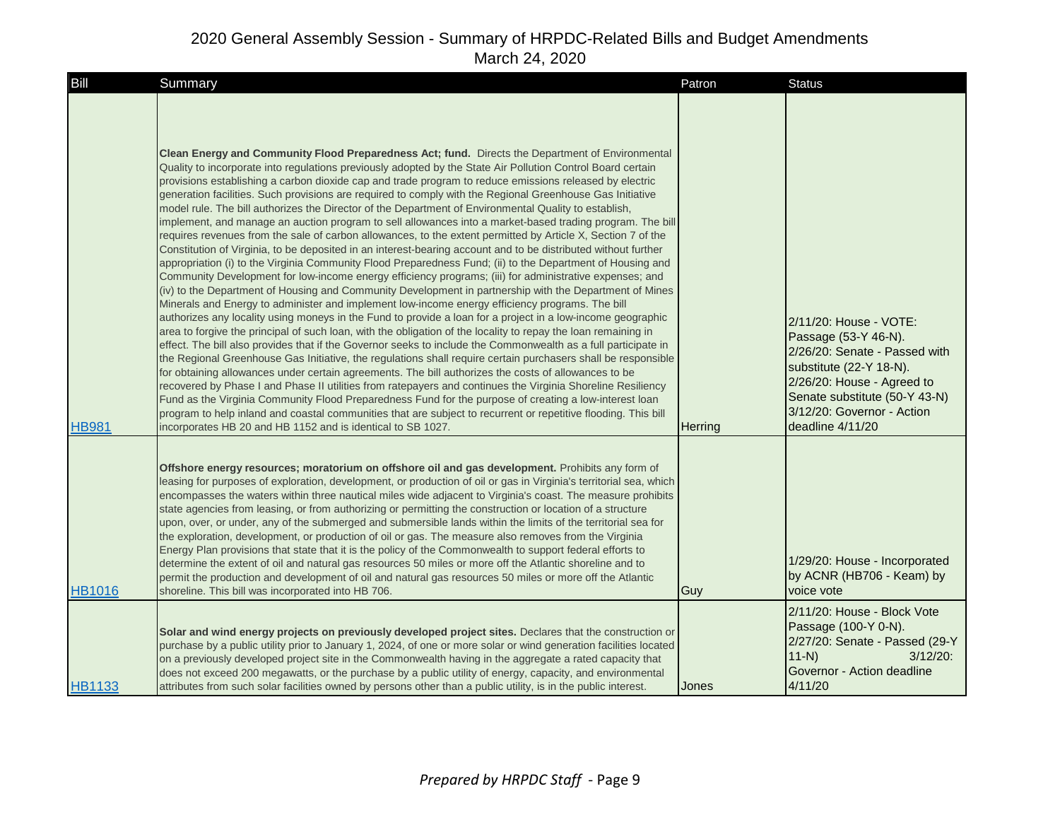| Bill          | Summary                                                                                                                                                                                                                                                                                                                                                                                                                                                                                                                                                                                                                                                                                                                                                                                                                                                                                                                                                                                                                                                                                                                                                                                                                                                                                                                                                                                                                                                                                                                                                                                                                                                                                                                                                                                                                                                                                                                                                                                                                                                                                                                                                                                                                                                                                                                      | Patron         | <b>Status</b>                                                                                                                                                                                                               |
|---------------|------------------------------------------------------------------------------------------------------------------------------------------------------------------------------------------------------------------------------------------------------------------------------------------------------------------------------------------------------------------------------------------------------------------------------------------------------------------------------------------------------------------------------------------------------------------------------------------------------------------------------------------------------------------------------------------------------------------------------------------------------------------------------------------------------------------------------------------------------------------------------------------------------------------------------------------------------------------------------------------------------------------------------------------------------------------------------------------------------------------------------------------------------------------------------------------------------------------------------------------------------------------------------------------------------------------------------------------------------------------------------------------------------------------------------------------------------------------------------------------------------------------------------------------------------------------------------------------------------------------------------------------------------------------------------------------------------------------------------------------------------------------------------------------------------------------------------------------------------------------------------------------------------------------------------------------------------------------------------------------------------------------------------------------------------------------------------------------------------------------------------------------------------------------------------------------------------------------------------------------------------------------------------------------------------------------------------|----------------|-----------------------------------------------------------------------------------------------------------------------------------------------------------------------------------------------------------------------------|
| <b>HB981</b>  | Clean Energy and Community Flood Preparedness Act; fund. Directs the Department of Environmental<br>Quality to incorporate into regulations previously adopted by the State Air Pollution Control Board certain<br>provisions establishing a carbon dioxide cap and trade program to reduce emissions released by electric<br>generation facilities. Such provisions are required to comply with the Regional Greenhouse Gas Initiative<br>model rule. The bill authorizes the Director of the Department of Environmental Quality to establish,<br>implement, and manage an auction program to sell allowances into a market-based trading program. The bill<br>requires revenues from the sale of carbon allowances, to the extent permitted by Article X, Section 7 of the<br>Constitution of Virginia, to be deposited in an interest-bearing account and to be distributed without further<br>appropriation (i) to the Virginia Community Flood Preparedness Fund; (ii) to the Department of Housing and<br>Community Development for low-income energy efficiency programs; (iii) for administrative expenses; and<br>(iv) to the Department of Housing and Community Development in partnership with the Department of Mines<br>Minerals and Energy to administer and implement low-income energy efficiency programs. The bill<br>authorizes any locality using moneys in the Fund to provide a loan for a project in a low-income geographic<br>area to forgive the principal of such loan, with the obligation of the locality to repay the loan remaining in<br>effect. The bill also provides that if the Governor seeks to include the Commonwealth as a full participate in<br>the Regional Greenhouse Gas Initiative, the regulations shall require certain purchasers shall be responsible<br>for obtaining allowances under certain agreements. The bill authorizes the costs of allowances to be<br>recovered by Phase I and Phase II utilities from ratepayers and continues the Virginia Shoreline Resiliency<br>Fund as the Virginia Community Flood Preparedness Fund for the purpose of creating a low-interest loan<br>program to help inland and coastal communities that are subject to recurrent or repetitive flooding. This bill<br>incorporates HB 20 and HB 1152 and is identical to SB 1027. | <b>Herring</b> | 2/11/20: House - VOTE:<br>Passage (53-Y 46-N).<br>2/26/20: Senate - Passed with<br>substitute (22-Y 18-N).<br>2/26/20: House - Agreed to<br>Senate substitute (50-Y 43-N)<br>3/12/20: Governor - Action<br>deadline 4/11/20 |
| <b>HB1016</b> | Offshore energy resources; moratorium on offshore oil and gas development. Prohibits any form of<br>leasing for purposes of exploration, development, or production of oil or gas in Virginia's territorial sea, which<br>encompasses the waters within three nautical miles wide adjacent to Virginia's coast. The measure prohibits<br>state agencies from leasing, or from authorizing or permitting the construction or location of a structure<br>upon, over, or under, any of the submerged and submersible lands within the limits of the territorial sea for<br>the exploration, development, or production of oil or gas. The measure also removes from the Virginia<br>Energy Plan provisions that state that it is the policy of the Commonwealth to support federal efforts to<br>determine the extent of oil and natural gas resources 50 miles or more off the Atlantic shoreline and to<br>permit the production and development of oil and natural gas resources 50 miles or more off the Atlantic<br>shoreline. This bill was incorporated into HB 706.<br>Solar and wind energy projects on previously developed project sites. Declares that the construction or<br>purchase by a public utility prior to January 1, 2024, of one or more solar or wind generation facilities located<br>on a previously developed project site in the Commonwealth having in the aggregate a rated capacity that<br>does not exceed 200 megawatts, or the purchase by a public utility of energy, capacity, and environmental                                                                                                                                                                                                                                                                                                                                                                                                                                                                                                                                                                                                                                                                                                                                                                                            | Guy            | 1/29/20: House - Incorporated<br>by ACNR (HB706 - Keam) by<br>voice vote<br>2/11/20: House - Block Vote<br>Passage (100-Y 0-N).<br>2/27/20: Senate - Passed (29-Y<br>$11-N$<br>$3/12/20$ :<br>Governor - Action deadline    |
| <b>HB1133</b> | attributes from such solar facilities owned by persons other than a public utility, is in the public interest.                                                                                                                                                                                                                                                                                                                                                                                                                                                                                                                                                                                                                                                                                                                                                                                                                                                                                                                                                                                                                                                                                                                                                                                                                                                                                                                                                                                                                                                                                                                                                                                                                                                                                                                                                                                                                                                                                                                                                                                                                                                                                                                                                                                                               | Jones          | 4/11/20                                                                                                                                                                                                                     |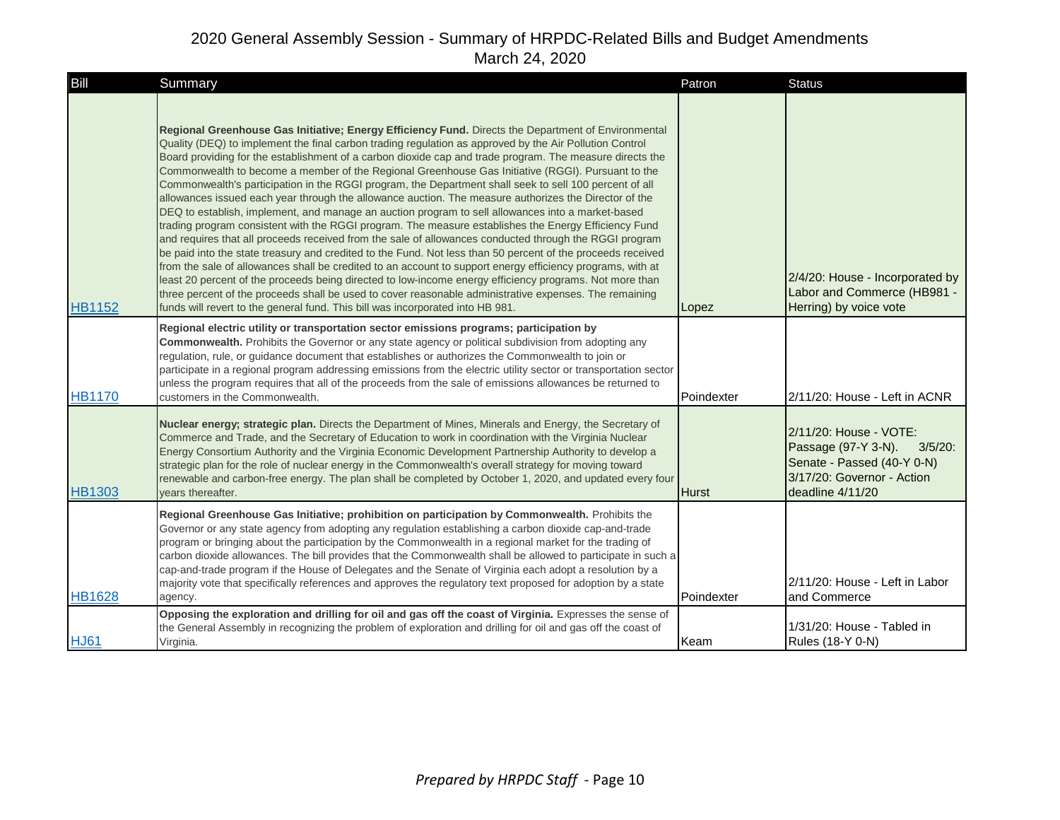| Bill          | Summary                                                                                                                                                                                                                                                                                                                                                                                                                                                                                                                                                                                                                                                                                                                                                                                                                                                                                                                                                                                                                                                                                                                                                                                                                                                                                                                                                                                                                                                                                                       | Patron       | <b>Status</b>                                                                                                                           |
|---------------|---------------------------------------------------------------------------------------------------------------------------------------------------------------------------------------------------------------------------------------------------------------------------------------------------------------------------------------------------------------------------------------------------------------------------------------------------------------------------------------------------------------------------------------------------------------------------------------------------------------------------------------------------------------------------------------------------------------------------------------------------------------------------------------------------------------------------------------------------------------------------------------------------------------------------------------------------------------------------------------------------------------------------------------------------------------------------------------------------------------------------------------------------------------------------------------------------------------------------------------------------------------------------------------------------------------------------------------------------------------------------------------------------------------------------------------------------------------------------------------------------------------|--------------|-----------------------------------------------------------------------------------------------------------------------------------------|
| <b>HB1152</b> | Regional Greenhouse Gas Initiative; Energy Efficiency Fund. Directs the Department of Environmental<br>Quality (DEQ) to implement the final carbon trading regulation as approved by the Air Pollution Control<br>Board providing for the establishment of a carbon dioxide cap and trade program. The measure directs the<br>Commonwealth to become a member of the Regional Greenhouse Gas Initiative (RGGI). Pursuant to the<br>Commonwealth's participation in the RGGI program, the Department shall seek to sell 100 percent of all<br>allowances issued each year through the allowance auction. The measure authorizes the Director of the<br>DEQ to establish, implement, and manage an auction program to sell allowances into a market-based<br>trading program consistent with the RGGI program. The measure establishes the Energy Efficiency Fund<br>and requires that all proceeds received from the sale of allowances conducted through the RGGI program<br>be paid into the state treasury and credited to the Fund. Not less than 50 percent of the proceeds received<br>from the sale of allowances shall be credited to an account to support energy efficiency programs, with at<br>least 20 percent of the proceeds being directed to low-income energy efficiency programs. Not more than<br>three percent of the proceeds shall be used to cover reasonable administrative expenses. The remaining<br>funds will revert to the general fund. This bill was incorporated into HB 981. | Lopez        | 2/4/20: House - Incorporated by<br>Labor and Commerce (HB981 -<br>Herring) by voice vote                                                |
| <b>HB1170</b> | Regional electric utility or transportation sector emissions programs; participation by<br>Commonwealth. Prohibits the Governor or any state agency or political subdivision from adopting any<br>regulation, rule, or guidance document that establishes or authorizes the Commonwealth to join or<br>participate in a regional program addressing emissions from the electric utility sector or transportation sector<br>unless the program requires that all of the proceeds from the sale of emissions allowances be returned to<br>customers in the Commonwealth.                                                                                                                                                                                                                                                                                                                                                                                                                                                                                                                                                                                                                                                                                                                                                                                                                                                                                                                                        | Poindexter   | 2/11/20: House - Left in ACNR                                                                                                           |
| <b>HB1303</b> | Nuclear energy; strategic plan. Directs the Department of Mines, Minerals and Energy, the Secretary of<br>Commerce and Trade, and the Secretary of Education to work in coordination with the Virginia Nuclear<br>Energy Consortium Authority and the Virginia Economic Development Partnership Authority to develop a<br>strategic plan for the role of nuclear energy in the Commonwealth's overall strategy for moving toward<br>renewable and carbon-free energy. The plan shall be completed by October 1, 2020, and updated every four<br>vears thereafter.                                                                                                                                                                                                                                                                                                                                                                                                                                                                                                                                                                                                                                                                                                                                                                                                                                                                                                                                             | <b>Hurst</b> | 2/11/20: House - VOTE:<br>Passage (97-Y 3-N).<br>3/5/20<br>Senate - Passed (40-Y 0-N)<br>3/17/20: Governor - Action<br>deadline 4/11/20 |
| <b>HB1628</b> | Regional Greenhouse Gas Initiative; prohibition on participation by Commonwealth. Prohibits the<br>Governor or any state agency from adopting any regulation establishing a carbon dioxide cap-and-trade<br>program or bringing about the participation by the Commonwealth in a regional market for the trading of<br>carbon dioxide allowances. The bill provides that the Commonwealth shall be allowed to participate in such a<br>cap-and-trade program if the House of Delegates and the Senate of Virginia each adopt a resolution by a<br>majority vote that specifically references and approves the regulatory text proposed for adoption by a state<br>agency.                                                                                                                                                                                                                                                                                                                                                                                                                                                                                                                                                                                                                                                                                                                                                                                                                                     | Poindexter   | 2/11/20: House - Left in Labor<br>and Commerce                                                                                          |
| <b>HJ61</b>   | Opposing the exploration and drilling for oil and gas off the coast of Virginia. Expresses the sense of<br>the General Assembly in recognizing the problem of exploration and drilling for oil and gas off the coast of<br>Virginia.                                                                                                                                                                                                                                                                                                                                                                                                                                                                                                                                                                                                                                                                                                                                                                                                                                                                                                                                                                                                                                                                                                                                                                                                                                                                          | Keam         | 1/31/20: House - Tabled in<br>Rules (18-Y 0-N)                                                                                          |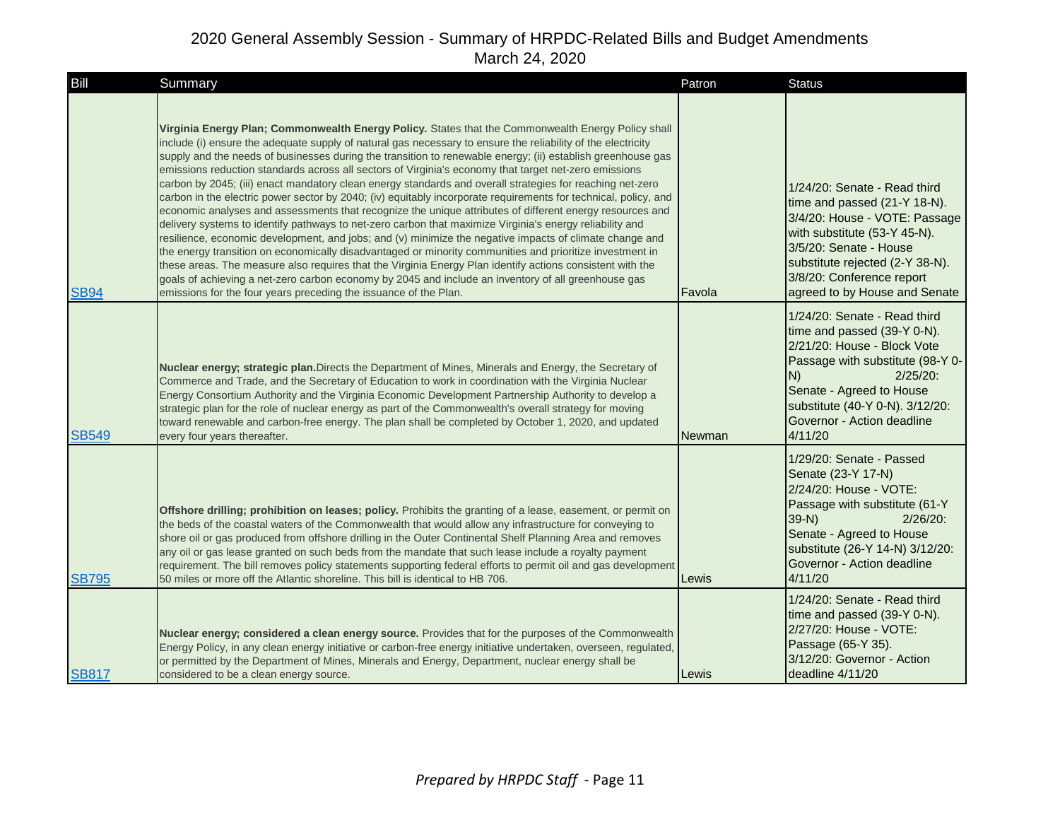| Bill         | Summary                                                                                                                                                                                                                                                                                                                                                                                                                                                                                                                                                                                                                                                                                                                                                                                                                                                                                                                                                                                                                                                                                                                                                                                                                                                                                                                                                                                                           | Patron        | <b>Status</b>                                                                                                                                                                                                                                               |
|--------------|-------------------------------------------------------------------------------------------------------------------------------------------------------------------------------------------------------------------------------------------------------------------------------------------------------------------------------------------------------------------------------------------------------------------------------------------------------------------------------------------------------------------------------------------------------------------------------------------------------------------------------------------------------------------------------------------------------------------------------------------------------------------------------------------------------------------------------------------------------------------------------------------------------------------------------------------------------------------------------------------------------------------------------------------------------------------------------------------------------------------------------------------------------------------------------------------------------------------------------------------------------------------------------------------------------------------------------------------------------------------------------------------------------------------|---------------|-------------------------------------------------------------------------------------------------------------------------------------------------------------------------------------------------------------------------------------------------------------|
| <b>SB94</b>  | Virginia Energy Plan; Commonwealth Energy Policy. States that the Commonwealth Energy Policy shall<br>include (i) ensure the adequate supply of natural gas necessary to ensure the reliability of the electricity<br>supply and the needs of businesses during the transition to renewable energy; (ii) establish greenhouse gas<br>emissions reduction standards across all sectors of Virginia's economy that target net-zero emissions<br>carbon by 2045; (iii) enact mandatory clean energy standards and overall strategies for reaching net-zero<br>carbon in the electric power sector by 2040; (iv) equitably incorporate requirements for technical, policy, and<br>economic analyses and assessments that recognize the unique attributes of different energy resources and<br>delivery systems to identify pathways to net-zero carbon that maximize Virginia's energy reliability and<br>resilience, economic development, and jobs; and (v) minimize the negative impacts of climate change and<br>the energy transition on economically disadvantaged or minority communities and prioritize investment in<br>these areas. The measure also requires that the Virginia Energy Plan identify actions consistent with the<br>goals of achieving a net-zero carbon economy by 2045 and include an inventory of all greenhouse gas<br>emissions for the four years preceding the issuance of the Plan. | Favola        | 1/24/20: Senate - Read third<br>time and passed (21-Y 18-N).<br>3/4/20: House - VOTE: Passage<br>with substitute (53-Y 45-N).<br>3/5/20: Senate - House<br>substitute rejected (2-Y 38-N).<br>3/8/20: Conference report<br>agreed to by House and Senate    |
| <b>SB549</b> | Nuclear energy; strategic plan. Directs the Department of Mines, Minerals and Energy, the Secretary of<br>Commerce and Trade, and the Secretary of Education to work in coordination with the Virginia Nuclear<br>Energy Consortium Authority and the Virginia Economic Development Partnership Authority to develop a<br>strategic plan for the role of nuclear energy as part of the Commonwealth's overall strategy for moving<br>toward renewable and carbon-free energy. The plan shall be completed by October 1, 2020, and updated<br>every four years thereafter.                                                                                                                                                                                                                                                                                                                                                                                                                                                                                                                                                                                                                                                                                                                                                                                                                                         | <b>Newman</b> | 1/24/20: Senate - Read third<br>time and passed (39-Y 0-N).<br>2/21/20: House - Block Vote<br>Passage with substitute (98-Y 0-<br>$2/25/20$ :<br>N)<br>Senate - Agreed to House<br>substitute (40-Y 0-N). 3/12/20:<br>Governor - Action deadline<br>4/11/20 |
| <b>SB795</b> | Offshore drilling; prohibition on leases; policy. Prohibits the granting of a lease, easement, or permit on<br>the beds of the coastal waters of the Commonwealth that would allow any infrastructure for conveying to<br>shore oil or gas produced from offshore drilling in the Outer Continental Shelf Planning Area and removes<br>any oil or gas lease granted on such beds from the mandate that such lease include a royalty payment<br>requirement. The bill removes policy statements supporting federal efforts to permit oil and gas development<br>50 miles or more off the Atlantic shoreline. This bill is identical to HB 706.                                                                                                                                                                                                                                                                                                                                                                                                                                                                                                                                                                                                                                                                                                                                                                     | Lewis         | 1/29/20: Senate - Passed<br>Senate (23-Y 17-N)<br>2/24/20: House - VOTE:<br>Passage with substitute (61-Y<br>$39-N$<br>$2/26/20$ :<br>Senate - Agreed to House<br>substitute (26-Y 14-N) 3/12/20:<br>Governor - Action deadline<br>4/11/20                  |
| <b>SB817</b> | Nuclear energy; considered a clean energy source. Provides that for the purposes of the Commonwealth<br>Energy Policy, in any clean energy initiative or carbon-free energy initiative undertaken, overseen, regulated,<br>or permitted by the Department of Mines, Minerals and Energy, Department, nuclear energy shall be<br>considered to be a clean energy source.                                                                                                                                                                                                                                                                                                                                                                                                                                                                                                                                                                                                                                                                                                                                                                                                                                                                                                                                                                                                                                           | Lewis         | 1/24/20: Senate - Read third<br>time and passed (39-Y 0-N).<br>2/27/20: House - VOTE:<br>Passage (65-Y 35).<br>3/12/20: Governor - Action<br>deadline 4/11/20                                                                                               |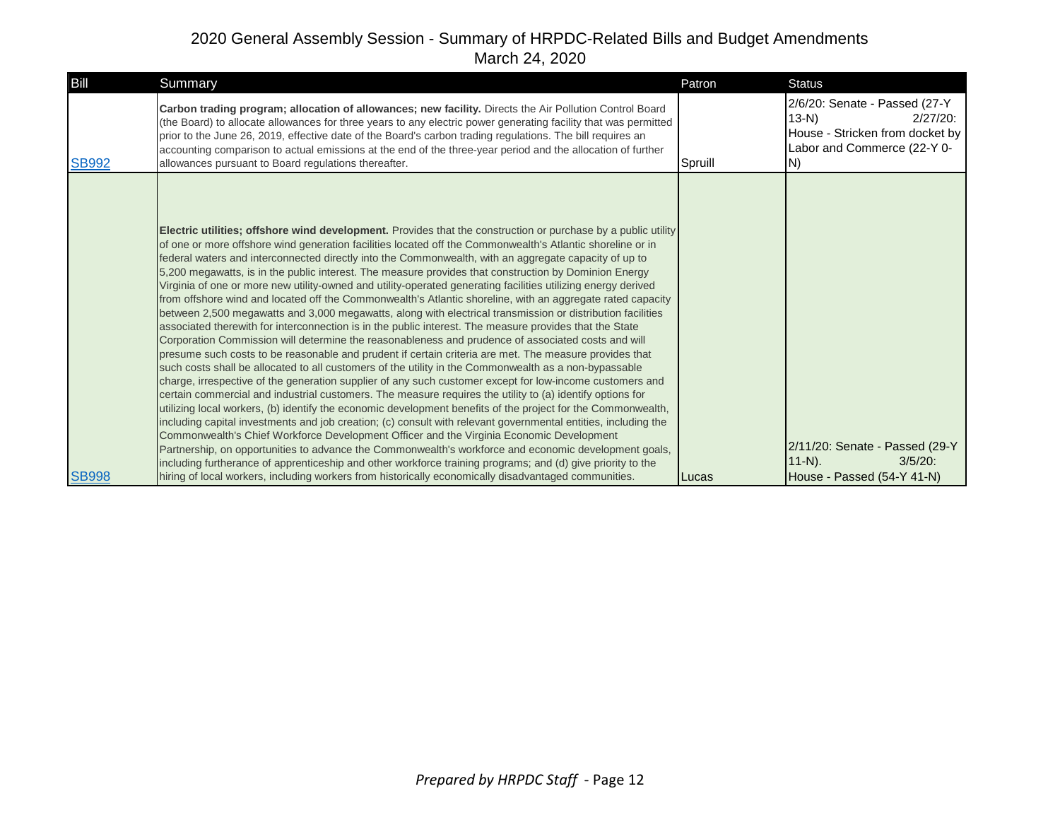| Carbon trading program; allocation of allowances; new facility. Directs the Air Pollution Control Board<br>(the Board) to allocate allowances for three years to any electric power generating facility that was permitted<br>prior to the June 26, 2019, effective date of the Board's carbon trading regulations. The bill requires an<br>accounting comparison to actual emissions at the end of the three-year period and the allocation of further                                                                                                                                                                                                                                                                                                                                                                                                                                                                                                                                                                                                                                                                                                                                                                                                                                                                                                                                                                                                                                                                                                                                                                                                                                                                                                                                                                                                                                                                                                                                                                                                                                                                                                | 2/6/20: Senate - Passed (27-Y<br>$13-N$<br>$2/27/20$ :<br>House - Stricken from docket by<br>Labor and Commerce (22-Y 0-<br>IN) |
|--------------------------------------------------------------------------------------------------------------------------------------------------------------------------------------------------------------------------------------------------------------------------------------------------------------------------------------------------------------------------------------------------------------------------------------------------------------------------------------------------------------------------------------------------------------------------------------------------------------------------------------------------------------------------------------------------------------------------------------------------------------------------------------------------------------------------------------------------------------------------------------------------------------------------------------------------------------------------------------------------------------------------------------------------------------------------------------------------------------------------------------------------------------------------------------------------------------------------------------------------------------------------------------------------------------------------------------------------------------------------------------------------------------------------------------------------------------------------------------------------------------------------------------------------------------------------------------------------------------------------------------------------------------------------------------------------------------------------------------------------------------------------------------------------------------------------------------------------------------------------------------------------------------------------------------------------------------------------------------------------------------------------------------------------------------------------------------------------------------------------------------------------------|---------------------------------------------------------------------------------------------------------------------------------|
| <b>SB992</b><br>Spruill<br>allowances pursuant to Board regulations thereafter.                                                                                                                                                                                                                                                                                                                                                                                                                                                                                                                                                                                                                                                                                                                                                                                                                                                                                                                                                                                                                                                                                                                                                                                                                                                                                                                                                                                                                                                                                                                                                                                                                                                                                                                                                                                                                                                                                                                                                                                                                                                                        |                                                                                                                                 |
| Electric utilities; offshore wind development. Provides that the construction or purchase by a public utility<br>of one or more offshore wind generation facilities located off the Commonwealth's Atlantic shoreline or in<br>federal waters and interconnected directly into the Commonwealth, with an aggregate capacity of up to<br>5,200 megawatts, is in the public interest. The measure provides that construction by Dominion Energy<br>Virginia of one or more new utility-owned and utility-operated generating facilities utilizing energy derived<br>from offshore wind and located off the Commonwealth's Atlantic shoreline, with an aggregate rated capacity<br>between 2,500 megawatts and 3,000 megawatts, along with electrical transmission or distribution facilities<br>associated therewith for interconnection is in the public interest. The measure provides that the State<br>Corporation Commission will determine the reasonableness and prudence of associated costs and will<br>presume such costs to be reasonable and prudent if certain criteria are met. The measure provides that<br>such costs shall be allocated to all customers of the utility in the Commonwealth as a non-bypassable<br>charge, irrespective of the generation supplier of any such customer except for low-income customers and<br>certain commercial and industrial customers. The measure requires the utility to (a) identify options for<br>utilizing local workers, (b) identify the economic development benefits of the project for the Commonwealth,<br>including capital investments and job creation; (c) consult with relevant governmental entities, including the<br>Commonwealth's Chief Workforce Development Officer and the Virginia Economic Development<br>Partnership, on opportunities to advance the Commonwealth's workforce and economic development goals,<br>including furtherance of apprenticeship and other workforce training programs; and (d) give priority to the<br><b>SB998</b><br>hiring of local workers, including workers from historically economically disadvantaged communities.<br><b>ILucas</b> | 2/11/20: Senate - Passed (29-Y<br>$11-N$ ).<br>$3/5/20$ :<br>House - Passed (54-Y 41-N)                                         |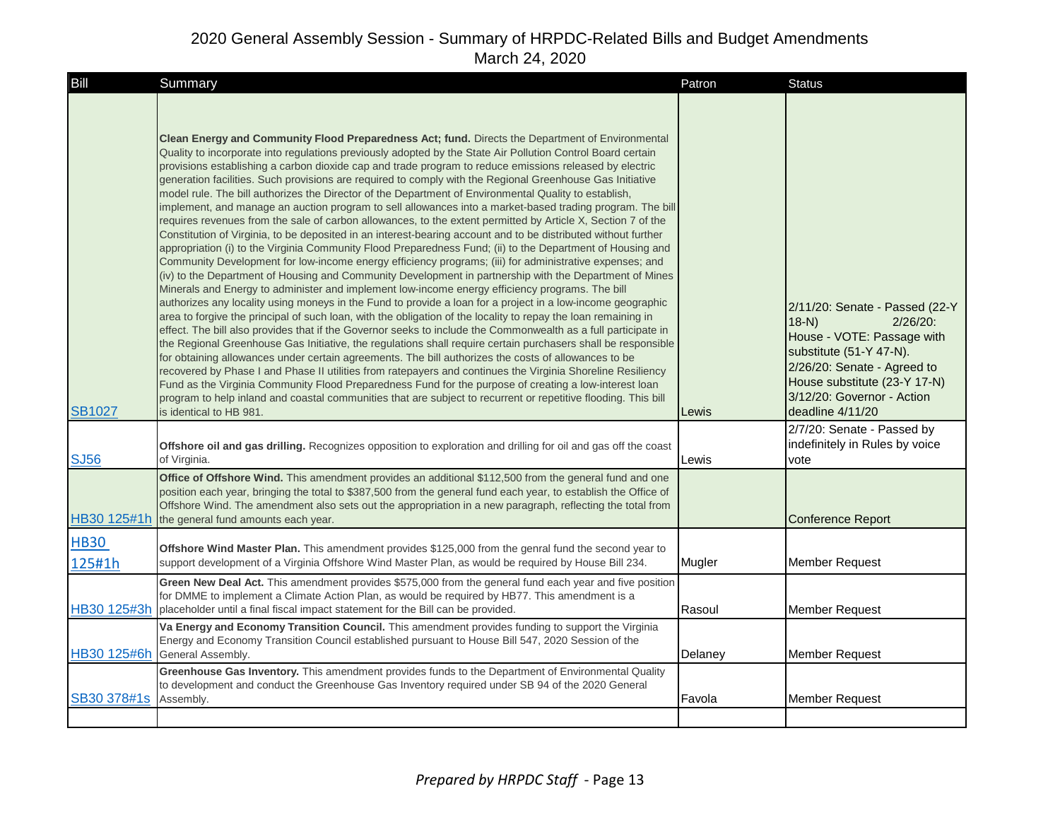| Bill                  | Summary                                                                                                                                                                                                                                                                                                                                                                                                                                                                                                                                                                                                                                                                                                                                                                                                                                                                                                                                                                                                                                                                                                                                                                                                                                                                                                                                                                                                                                                                                                                                                                                                                                                                                                                                                                                                                                                                                                                                                                                                                                                                                                                                                                                                                                                                                  | Patron  | <b>Status</b>                                                                                                                                                                                                                     |
|-----------------------|------------------------------------------------------------------------------------------------------------------------------------------------------------------------------------------------------------------------------------------------------------------------------------------------------------------------------------------------------------------------------------------------------------------------------------------------------------------------------------------------------------------------------------------------------------------------------------------------------------------------------------------------------------------------------------------------------------------------------------------------------------------------------------------------------------------------------------------------------------------------------------------------------------------------------------------------------------------------------------------------------------------------------------------------------------------------------------------------------------------------------------------------------------------------------------------------------------------------------------------------------------------------------------------------------------------------------------------------------------------------------------------------------------------------------------------------------------------------------------------------------------------------------------------------------------------------------------------------------------------------------------------------------------------------------------------------------------------------------------------------------------------------------------------------------------------------------------------------------------------------------------------------------------------------------------------------------------------------------------------------------------------------------------------------------------------------------------------------------------------------------------------------------------------------------------------------------------------------------------------------------------------------------------------|---------|-----------------------------------------------------------------------------------------------------------------------------------------------------------------------------------------------------------------------------------|
| <b>SB1027</b>         | Clean Energy and Community Flood Preparedness Act; fund. Directs the Department of Environmental<br>Quality to incorporate into regulations previously adopted by the State Air Pollution Control Board certain<br>provisions establishing a carbon dioxide cap and trade program to reduce emissions released by electric<br>generation facilities. Such provisions are required to comply with the Regional Greenhouse Gas Initiative<br>model rule. The bill authorizes the Director of the Department of Environmental Quality to establish,<br>implement, and manage an auction program to sell allowances into a market-based trading program. The bill<br>requires revenues from the sale of carbon allowances, to the extent permitted by Article X, Section 7 of the<br>Constitution of Virginia, to be deposited in an interest-bearing account and to be distributed without further<br>appropriation (i) to the Virginia Community Flood Preparedness Fund; (ii) to the Department of Housing and<br>Community Development for low-income energy efficiency programs; (iii) for administrative expenses; and<br>(iv) to the Department of Housing and Community Development in partnership with the Department of Mines<br>Minerals and Energy to administer and implement low-income energy efficiency programs. The bill<br>authorizes any locality using moneys in the Fund to provide a loan for a project in a low-income geographic<br>area to forgive the principal of such loan, with the obligation of the locality to repay the loan remaining in<br>effect. The bill also provides that if the Governor seeks to include the Commonwealth as a full participate in<br>the Regional Greenhouse Gas Initiative, the regulations shall require certain purchasers shall be responsible<br>for obtaining allowances under certain agreements. The bill authorizes the costs of allowances to be<br>recovered by Phase I and Phase II utilities from ratepayers and continues the Virginia Shoreline Resiliency<br>Fund as the Virginia Community Flood Preparedness Fund for the purpose of creating a low-interest loan<br>program to help inland and coastal communities that are subject to recurrent or repetitive flooding. This bill<br>is identical to HB 981. | Lewis   | 2/11/20: Senate - Passed (22-Y<br>$18-N$<br>$2/26/20$ :<br>House - VOTE: Passage with<br>substitute (51-Y 47-N).<br>2/26/20: Senate - Agreed to<br>House substitute (23-Y 17-N)<br>3/12/20: Governor - Action<br>deadline 4/11/20 |
| <b>SJ56</b>           | Offshore oil and gas drilling. Recognizes opposition to exploration and drilling for oil and gas off the coast<br>of Virginia.                                                                                                                                                                                                                                                                                                                                                                                                                                                                                                                                                                                                                                                                                                                                                                                                                                                                                                                                                                                                                                                                                                                                                                                                                                                                                                                                                                                                                                                                                                                                                                                                                                                                                                                                                                                                                                                                                                                                                                                                                                                                                                                                                           | Lewis   | 2/7/20: Senate - Passed by<br>indefinitely in Rules by voice<br>vote                                                                                                                                                              |
| HB30 125#1h           | Office of Offshore Wind. This amendment provides an additional \$112,500 from the general fund and one<br>position each year, bringing the total to \$387,500 from the general fund each year, to establish the Office of<br>Offshore Wind. The amendment also sets out the appropriation in a new paragraph, reflecting the total from<br>the general fund amounts each year.                                                                                                                                                                                                                                                                                                                                                                                                                                                                                                                                                                                                                                                                                                                                                                                                                                                                                                                                                                                                                                                                                                                                                                                                                                                                                                                                                                                                                                                                                                                                                                                                                                                                                                                                                                                                                                                                                                           |         | <b>Conference Report</b>                                                                                                                                                                                                          |
| <b>HB30</b><br>125#1h | Offshore Wind Master Plan. This amendment provides \$125,000 from the genral fund the second year to<br>support development of a Virginia Offshore Wind Master Plan, as would be required by House Bill 234.                                                                                                                                                                                                                                                                                                                                                                                                                                                                                                                                                                                                                                                                                                                                                                                                                                                                                                                                                                                                                                                                                                                                                                                                                                                                                                                                                                                                                                                                                                                                                                                                                                                                                                                                                                                                                                                                                                                                                                                                                                                                             | Mugler  | Member Request                                                                                                                                                                                                                    |
|                       | Green New Deal Act. This amendment provides \$575,000 from the general fund each year and five position<br>for DMME to implement a Climate Action Plan, as would be required by HB77. This amendment is a<br>HB30 125#3h placeholder until a final fiscal impact statement for the Bill can be provided.                                                                                                                                                                                                                                                                                                                                                                                                                                                                                                                                                                                                                                                                                                                                                                                                                                                                                                                                                                                                                                                                                                                                                                                                                                                                                                                                                                                                                                                                                                                                                                                                                                                                                                                                                                                                                                                                                                                                                                                 | Rasoul  | Member Request                                                                                                                                                                                                                    |
| HB30 125#6h           | Va Energy and Economy Transition Council. This amendment provides funding to support the Virginia<br>Energy and Economy Transition Council established pursuant to House Bill 547, 2020 Session of the<br>General Assembly.                                                                                                                                                                                                                                                                                                                                                                                                                                                                                                                                                                                                                                                                                                                                                                                                                                                                                                                                                                                                                                                                                                                                                                                                                                                                                                                                                                                                                                                                                                                                                                                                                                                                                                                                                                                                                                                                                                                                                                                                                                                              | Delaney | Member Request                                                                                                                                                                                                                    |
| SB30 378#1s           | Greenhouse Gas Inventory. This amendment provides funds to the Department of Environmental Quality<br>to development and conduct the Greenhouse Gas Inventory required under SB 94 of the 2020 General<br>Assembly.                                                                                                                                                                                                                                                                                                                                                                                                                                                                                                                                                                                                                                                                                                                                                                                                                                                                                                                                                                                                                                                                                                                                                                                                                                                                                                                                                                                                                                                                                                                                                                                                                                                                                                                                                                                                                                                                                                                                                                                                                                                                      | Favola  | Member Request                                                                                                                                                                                                                    |
|                       |                                                                                                                                                                                                                                                                                                                                                                                                                                                                                                                                                                                                                                                                                                                                                                                                                                                                                                                                                                                                                                                                                                                                                                                                                                                                                                                                                                                                                                                                                                                                                                                                                                                                                                                                                                                                                                                                                                                                                                                                                                                                                                                                                                                                                                                                                          |         |                                                                                                                                                                                                                                   |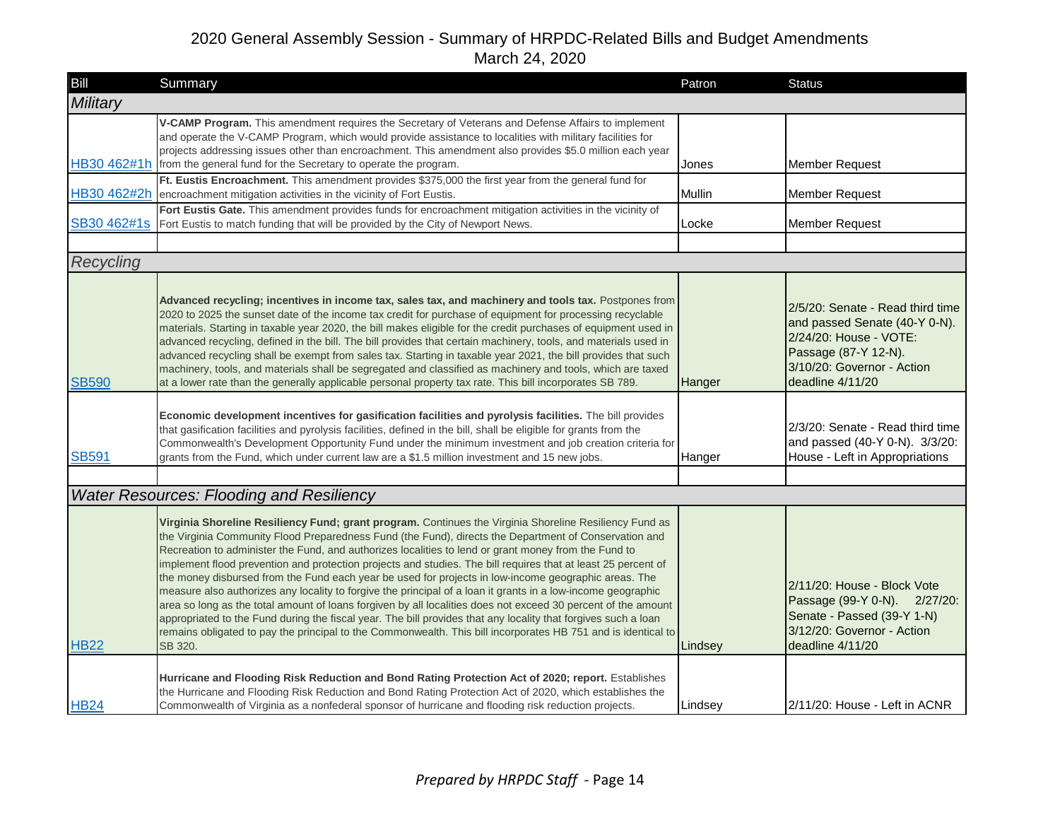| Bill         | Summary                                                                                                                                                                                                                                                                                                                                                                                                                                                                                                                                                                                                                                                                                                                                                                                                                                                                                                                                                                                                                         | Patron  | <b>Status</b>                                                                                                                                                         |
|--------------|---------------------------------------------------------------------------------------------------------------------------------------------------------------------------------------------------------------------------------------------------------------------------------------------------------------------------------------------------------------------------------------------------------------------------------------------------------------------------------------------------------------------------------------------------------------------------------------------------------------------------------------------------------------------------------------------------------------------------------------------------------------------------------------------------------------------------------------------------------------------------------------------------------------------------------------------------------------------------------------------------------------------------------|---------|-----------------------------------------------------------------------------------------------------------------------------------------------------------------------|
| Military     |                                                                                                                                                                                                                                                                                                                                                                                                                                                                                                                                                                                                                                                                                                                                                                                                                                                                                                                                                                                                                                 |         |                                                                                                                                                                       |
| HB30 462#1h  | V-CAMP Program. This amendment requires the Secretary of Veterans and Defense Affairs to implement<br>and operate the V-CAMP Program, which would provide assistance to localities with military facilities for<br>projects addressing issues other than encroachment. This amendment also provides \$5.0 million each year<br>from the general fund for the Secretary to operate the program.                                                                                                                                                                                                                                                                                                                                                                                                                                                                                                                                                                                                                                  | Jones   | <b>Member Request</b>                                                                                                                                                 |
| HB30 462#2h  | Ft. Eustis Encroachment. This amendment provides \$375,000 the first year from the general fund for<br>encroachment mitigation activities in the vicinity of Fort Eustis.                                                                                                                                                                                                                                                                                                                                                                                                                                                                                                                                                                                                                                                                                                                                                                                                                                                       | Mullin  | <b>Member Request</b>                                                                                                                                                 |
| SB30 462#1s  | Fort Eustis Gate. This amendment provides funds for encroachment mitigation activities in the vicinity of<br>Fort Eustis to match funding that will be provided by the City of Newport News.                                                                                                                                                                                                                                                                                                                                                                                                                                                                                                                                                                                                                                                                                                                                                                                                                                    | Locke   | <b>Member Request</b>                                                                                                                                                 |
|              |                                                                                                                                                                                                                                                                                                                                                                                                                                                                                                                                                                                                                                                                                                                                                                                                                                                                                                                                                                                                                                 |         |                                                                                                                                                                       |
| Recycling    |                                                                                                                                                                                                                                                                                                                                                                                                                                                                                                                                                                                                                                                                                                                                                                                                                                                                                                                                                                                                                                 |         |                                                                                                                                                                       |
| <b>SB590</b> | Advanced recycling; incentives in income tax, sales tax, and machinery and tools tax. Postpones from<br>2020 to 2025 the sunset date of the income tax credit for purchase of equipment for processing recyclable<br>materials. Starting in taxable year 2020, the bill makes eligible for the credit purchases of equipment used in<br>advanced recycling, defined in the bill. The bill provides that certain machinery, tools, and materials used in<br>advanced recycling shall be exempt from sales tax. Starting in taxable year 2021, the bill provides that such<br>machinery, tools, and materials shall be segregated and classified as machinery and tools, which are taxed<br>at a lower rate than the generally applicable personal property tax rate. This bill incorporates SB 789.                                                                                                                                                                                                                              | Hanger  | 2/5/20: Senate - Read third time<br>and passed Senate (40-Y 0-N).<br>2/24/20: House - VOTE:<br>Passage (87-Y 12-N).<br>3/10/20: Governor - Action<br>deadline 4/11/20 |
| <b>SB591</b> | Economic development incentives for gasification facilities and pyrolysis facilities. The bill provides<br>that gasification facilities and pyrolysis facilities, defined in the bill, shall be eligible for grants from the<br>Commonwealth's Development Opportunity Fund under the minimum investment and job creation criteria for<br>grants from the Fund, which under current law are a \$1.5 million investment and 15 new jobs.                                                                                                                                                                                                                                                                                                                                                                                                                                                                                                                                                                                         | Hanger  | 2/3/20: Senate - Read third time<br>and passed (40-Y 0-N). 3/3/20:<br>House - Left in Appropriations                                                                  |
|              |                                                                                                                                                                                                                                                                                                                                                                                                                                                                                                                                                                                                                                                                                                                                                                                                                                                                                                                                                                                                                                 |         |                                                                                                                                                                       |
|              | <b>Water Resources: Flooding and Resiliency</b>                                                                                                                                                                                                                                                                                                                                                                                                                                                                                                                                                                                                                                                                                                                                                                                                                                                                                                                                                                                 |         |                                                                                                                                                                       |
| <b>HB22</b>  | Virginia Shoreline Resiliency Fund; grant program. Continues the Virginia Shoreline Resiliency Fund as<br>the Virginia Community Flood Preparedness Fund (the Fund), directs the Department of Conservation and<br>Recreation to administer the Fund, and authorizes localities to lend or grant money from the Fund to<br>implement flood prevention and protection projects and studies. The bill requires that at least 25 percent of<br>the money disbursed from the Fund each year be used for projects in low-income geographic areas. The<br>measure also authorizes any locality to forgive the principal of a loan it grants in a low-income geographic<br>area so long as the total amount of loans forgiven by all localities does not exceed 30 percent of the amount<br>appropriated to the Fund during the fiscal year. The bill provides that any locality that forgives such a loan<br>remains obligated to pay the principal to the Commonwealth. This bill incorporates HB 751 and is identical to<br>SB 320. | Lindsey | 2/11/20: House - Block Vote<br>Passage (99-Y 0-N). 2/27/20:<br>Senate - Passed (39-Y 1-N)<br>3/12/20: Governor - Action<br>deadline 4/11/20                           |
| <b>HB24</b>  | Hurricane and Flooding Risk Reduction and Bond Rating Protection Act of 2020; report. Establishes<br>the Hurricane and Flooding Risk Reduction and Bond Rating Protection Act of 2020, which establishes the<br>Commonwealth of Virginia as a nonfederal sponsor of hurricane and flooding risk reduction projects.                                                                                                                                                                                                                                                                                                                                                                                                                                                                                                                                                                                                                                                                                                             | Lindsey | 2/11/20: House - Left in ACNR                                                                                                                                         |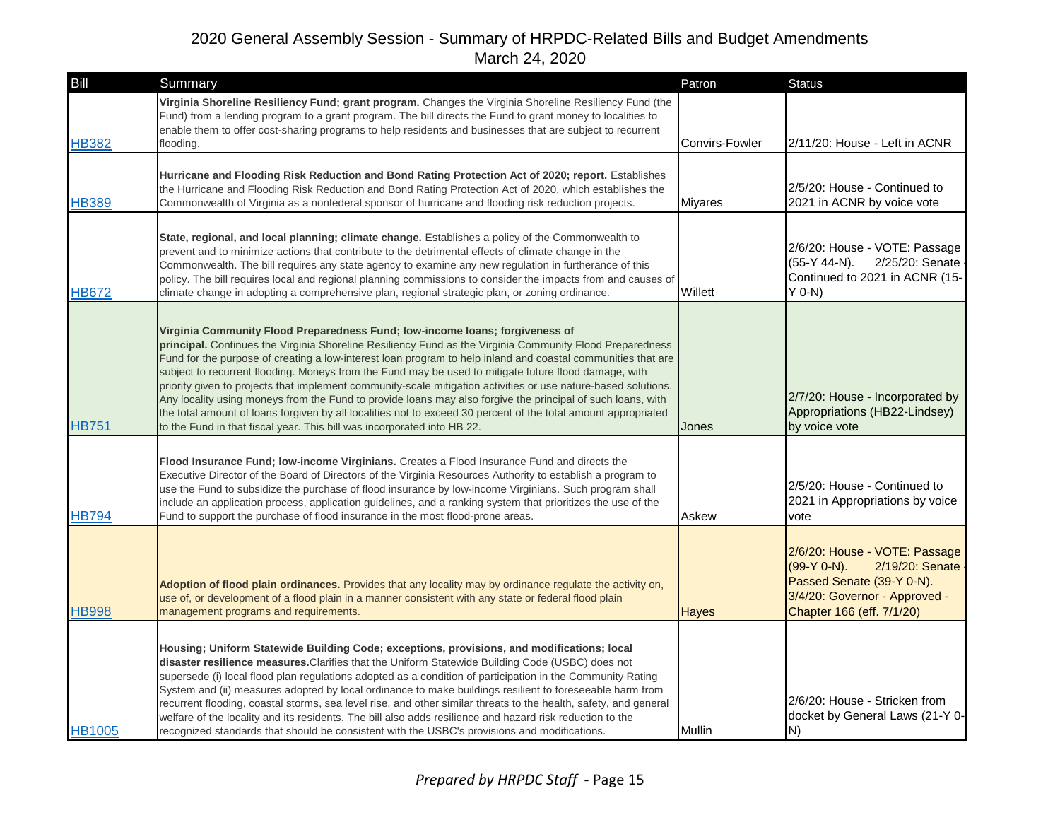| Bill          | Summary                                                                                                                                                                                                                                                                                                                                                                                                                                                                                                                                                                                                                                                                                                                                                                                                                                         | Patron         | <b>Status</b>                                                                                                                                                 |
|---------------|-------------------------------------------------------------------------------------------------------------------------------------------------------------------------------------------------------------------------------------------------------------------------------------------------------------------------------------------------------------------------------------------------------------------------------------------------------------------------------------------------------------------------------------------------------------------------------------------------------------------------------------------------------------------------------------------------------------------------------------------------------------------------------------------------------------------------------------------------|----------------|---------------------------------------------------------------------------------------------------------------------------------------------------------------|
| <b>HB382</b>  | Virginia Shoreline Resiliency Fund; grant program. Changes the Virginia Shoreline Resiliency Fund (the<br>Fund) from a lending program to a grant program. The bill directs the Fund to grant money to localities to<br>enable them to offer cost-sharing programs to help residents and businesses that are subject to recurrent<br>flooding.                                                                                                                                                                                                                                                                                                                                                                                                                                                                                                  | Convirs-Fowler | 2/11/20: House - Left in ACNR                                                                                                                                 |
| <b>HB389</b>  | Hurricane and Flooding Risk Reduction and Bond Rating Protection Act of 2020; report. Establishes<br>the Hurricane and Flooding Risk Reduction and Bond Rating Protection Act of 2020, which establishes the<br>Commonwealth of Virginia as a nonfederal sponsor of hurricane and flooding risk reduction projects.                                                                                                                                                                                                                                                                                                                                                                                                                                                                                                                             | <b>Miyares</b> | 2/5/20: House - Continued to<br>2021 in ACNR by voice vote                                                                                                    |
| <b>HB672</b>  | State, regional, and local planning; climate change. Establishes a policy of the Commonwealth to<br>prevent and to minimize actions that contribute to the detrimental effects of climate change in the<br>Commonwealth. The bill requires any state agency to examine any new regulation in furtherance of this<br>policy. The bill requires local and regional planning commissions to consider the impacts from and causes of<br>climate change in adopting a comprehensive plan, regional strategic plan, or zoning ordinance.                                                                                                                                                                                                                                                                                                              | Willett        | 2/6/20: House - VOTE: Passage<br>$(55-Y 44-N)$ .<br>2/25/20: Senate<br>Continued to 2021 in ACNR (15-<br>$Y$ 0-N)                                             |
| <b>HB751</b>  | Virginia Community Flood Preparedness Fund; low-income loans; forgiveness of<br>principal. Continues the Virginia Shoreline Resiliency Fund as the Virginia Community Flood Preparedness<br>Fund for the purpose of creating a low-interest loan program to help inland and coastal communities that are<br>subject to recurrent flooding. Moneys from the Fund may be used to mitigate future flood damage, with<br>priority given to projects that implement community-scale mitigation activities or use nature-based solutions.<br>Any locality using moneys from the Fund to provide loans may also forgive the principal of such loans, with<br>the total amount of loans forgiven by all localities not to exceed 30 percent of the total amount appropriated<br>to the Fund in that fiscal year. This bill was incorporated into HB 22. | Jones          | 2/7/20: House - Incorporated by<br>Appropriations (HB22-Lindsey)<br>by voice vote                                                                             |
| <b>HB794</b>  | Flood Insurance Fund; low-income Virginians. Creates a Flood Insurance Fund and directs the<br>Executive Director of the Board of Directors of the Virginia Resources Authority to establish a program to<br>use the Fund to subsidize the purchase of flood insurance by low-income Virginians. Such program shall<br>include an application process, application guidelines, and a ranking system that prioritizes the use of the<br>Fund to support the purchase of flood insurance in the most flood-prone areas.                                                                                                                                                                                                                                                                                                                           | Askew          | 2/5/20: House - Continued to<br>2021 in Appropriations by voice<br>vote                                                                                       |
| <b>HB998</b>  | Adoption of flood plain ordinances. Provides that any locality may by ordinance regulate the activity on,<br>use of, or development of a flood plain in a manner consistent with any state or federal flood plain<br>management programs and requirements.                                                                                                                                                                                                                                                                                                                                                                                                                                                                                                                                                                                      | <b>Hayes</b>   | 2/6/20: House - VOTE: Passage<br>$(99-Y 0-N)$ .<br>2/19/20: Senate<br>Passed Senate (39-Y 0-N).<br>3/4/20: Governor - Approved -<br>Chapter 166 (eff. 7/1/20) |
| <b>HB1005</b> | Housing; Uniform Statewide Building Code; exceptions, provisions, and modifications; local<br>disaster resilience measures. Clarifies that the Uniform Statewide Building Code (USBC) does not<br>supersede (i) local flood plan regulations adopted as a condition of participation in the Community Rating<br>System and (ii) measures adopted by local ordinance to make buildings resilient to foreseeable harm from<br>recurrent flooding, coastal storms, sea level rise, and other similar threats to the health, safety, and general<br>welfare of the locality and its residents. The bill also adds resilience and hazard risk reduction to the<br>recognized standards that should be consistent with the USBC's provisions and modifications.                                                                                       | Mullin         | 2/6/20: House - Stricken from<br>docket by General Laws (21-Y 0-<br>N)                                                                                        |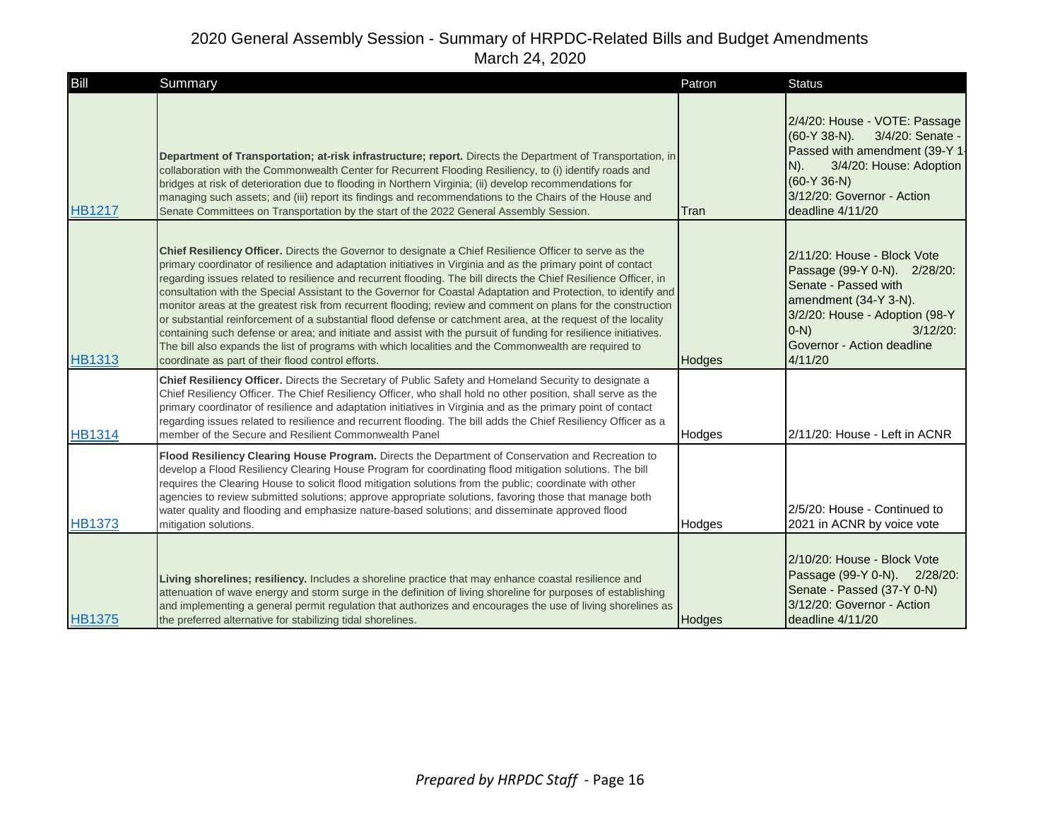| Bill          | Summary                                                                                                                                                                                                                                                                                                                                                                                                                                                                                                                                                                                                                                                                                                                                                                                                                                                                                                                                                                          | Patron        | <b>Status</b>                                                                                                                                                                                                     |
|---------------|----------------------------------------------------------------------------------------------------------------------------------------------------------------------------------------------------------------------------------------------------------------------------------------------------------------------------------------------------------------------------------------------------------------------------------------------------------------------------------------------------------------------------------------------------------------------------------------------------------------------------------------------------------------------------------------------------------------------------------------------------------------------------------------------------------------------------------------------------------------------------------------------------------------------------------------------------------------------------------|---------------|-------------------------------------------------------------------------------------------------------------------------------------------------------------------------------------------------------------------|
| <b>HB1217</b> | Department of Transportation; at-risk infrastructure; report. Directs the Department of Transportation, in<br>collaboration with the Commonwealth Center for Recurrent Flooding Resiliency, to (i) identify roads and<br>bridges at risk of deterioration due to flooding in Northern Virginia; (ii) develop recommendations for<br>managing such assets; and (iii) report its findings and recommendations to the Chairs of the House and<br>Senate Committees on Transportation by the start of the 2022 General Assembly Session.                                                                                                                                                                                                                                                                                                                                                                                                                                             | Tran          | 2/4/20: House - VOTE: Passage<br>(60-Y 38-N). 3/4/20: Senate -<br>Passed with amendment (39-Y 1-<br>3/4/20: House: Adoption<br>N).<br>$(60-Y 36-N)$<br>3/12/20: Governor - Action<br>deadline 4/11/20             |
| <b>HB1313</b> | Chief Resiliency Officer. Directs the Governor to designate a Chief Resilience Officer to serve as the<br>primary coordinator of resilience and adaptation initiatives in Virginia and as the primary point of contact<br>regarding issues related to resilience and recurrent flooding. The bill directs the Chief Resilience Officer, in<br>consultation with the Special Assistant to the Governor for Coastal Adaptation and Protection, to identify and<br>monitor areas at the greatest risk from recurrent flooding; review and comment on plans for the construction<br>or substantial reinforcement of a substantial flood defense or catchment area, at the request of the locality<br>containing such defense or area; and initiate and assist with the pursuit of funding for resilience initiatives.<br>The bill also expands the list of programs with which localities and the Commonwealth are required to<br>coordinate as part of their flood control efforts. | <b>Hodges</b> | 2/11/20: House - Block Vote<br>Passage (99-Y 0-N). 2/28/20:<br>Senate - Passed with<br>amendment (34-Y 3-N).<br>3/2/20: House - Adoption (98-Y<br>$(0-N)$<br>$3/12/20$ :<br>Governor - Action deadline<br>4/11/20 |
| <b>HB1314</b> | Chief Resiliency Officer. Directs the Secretary of Public Safety and Homeland Security to designate a<br>Chief Resiliency Officer. The Chief Resiliency Officer, who shall hold no other position, shall serve as the<br>primary coordinator of resilience and adaptation initiatives in Virginia and as the primary point of contact<br>regarding issues related to resilience and recurrent flooding. The bill adds the Chief Resiliency Officer as a<br>member of the Secure and Resilient Commonwealth Panel                                                                                                                                                                                                                                                                                                                                                                                                                                                                 | Hodges        | 2/11/20: House - Left in ACNR                                                                                                                                                                                     |
| <b>HB1373</b> | Flood Resiliency Clearing House Program. Directs the Department of Conservation and Recreation to<br>develop a Flood Resiliency Clearing House Program for coordinating flood mitigation solutions. The bill<br>requires the Clearing House to solicit flood mitigation solutions from the public; coordinate with other<br>agencies to review submitted solutions; approve appropriate solutions, favoring those that manage both<br>water quality and flooding and emphasize nature-based solutions; and disseminate approved flood<br>mitigation solutions.                                                                                                                                                                                                                                                                                                                                                                                                                   | Hodges        | 2/5/20: House - Continued to<br>2021 in ACNR by voice vote                                                                                                                                                        |
| <b>HB1375</b> | Living shorelines; resiliency. Includes a shoreline practice that may enhance coastal resilience and<br>attenuation of wave energy and storm surge in the definition of living shoreline for purposes of establishing<br>and implementing a general permit regulation that authorizes and encourages the use of living shorelines as<br>the preferred alternative for stabilizing tidal shorelines.                                                                                                                                                                                                                                                                                                                                                                                                                                                                                                                                                                              | Hodges        | 2/10/20: House - Block Vote<br>Passage (99-Y 0-N). 2/28/20:<br>Senate - Passed (37-Y 0-N)<br>3/12/20: Governor - Action<br>deadline 4/11/20                                                                       |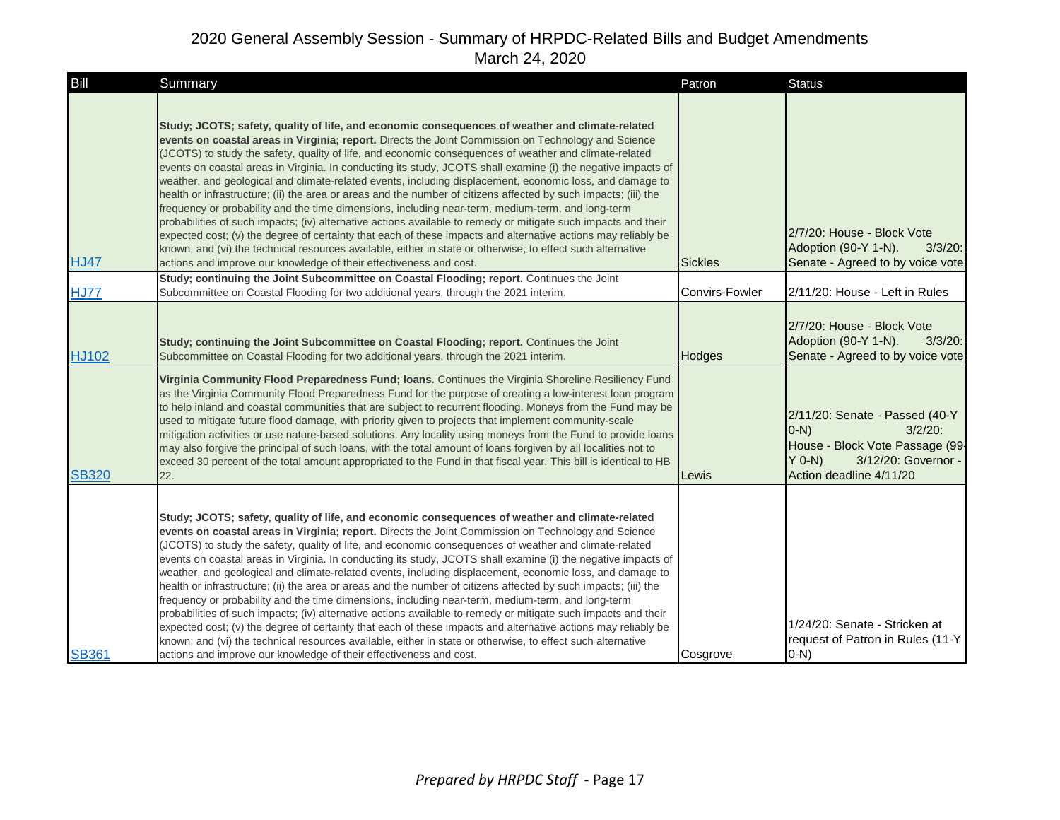| Bill         | Summary                                                                                                                                                                                                                                                                                                                                                                                                                                                                                                                                                                                                                                                                                                                                                                                                                                                                                                                                                                                                                                                                                                                                                                                       | Patron         | <b>Status</b>                                                                                                                                            |
|--------------|-----------------------------------------------------------------------------------------------------------------------------------------------------------------------------------------------------------------------------------------------------------------------------------------------------------------------------------------------------------------------------------------------------------------------------------------------------------------------------------------------------------------------------------------------------------------------------------------------------------------------------------------------------------------------------------------------------------------------------------------------------------------------------------------------------------------------------------------------------------------------------------------------------------------------------------------------------------------------------------------------------------------------------------------------------------------------------------------------------------------------------------------------------------------------------------------------|----------------|----------------------------------------------------------------------------------------------------------------------------------------------------------|
| <b>HJ47</b>  | Study; JCOTS; safety, quality of life, and economic consequences of weather and climate-related<br>events on coastal areas in Virginia; report. Directs the Joint Commission on Technology and Science<br>(JCOTS) to study the safety, quality of life, and economic consequences of weather and climate-related<br>events on coastal areas in Virginia. In conducting its study, JCOTS shall examine (i) the negative impacts of<br>weather, and geological and climate-related events, including displacement, economic loss, and damage to<br>health or infrastructure; (ii) the area or areas and the number of citizens affected by such impacts; (iii) the<br>frequency or probability and the time dimensions, including near-term, medium-term, and long-term<br>probabilities of such impacts; (iv) alternative actions available to remedy or mitigate such impacts and their<br>expected cost; (v) the degree of certainty that each of these impacts and alternative actions may reliably be<br>known; and (vi) the technical resources available, either in state or otherwise, to effect such alternative<br>actions and improve our knowledge of their effectiveness and cost. | <b>Sickles</b> | 2/7/20: House - Block Vote<br>Adoption (90-Y 1-N).<br>$3/3/20$ :<br>Senate - Agreed to by voice vote                                                     |
| <b>HJ77</b>  | Study; continuing the Joint Subcommittee on Coastal Flooding; report. Continues the Joint<br>Subcommittee on Coastal Flooding for two additional years, through the 2021 interim.                                                                                                                                                                                                                                                                                                                                                                                                                                                                                                                                                                                                                                                                                                                                                                                                                                                                                                                                                                                                             | Convirs-Fowler | 2/11/20: House - Left in Rules                                                                                                                           |
| HJ102        | Study; continuing the Joint Subcommittee on Coastal Flooding; report. Continues the Joint<br>Subcommittee on Coastal Flooding for two additional years, through the 2021 interim.                                                                                                                                                                                                                                                                                                                                                                                                                                                                                                                                                                                                                                                                                                                                                                                                                                                                                                                                                                                                             | Hodges         | 2/7/20: House - Block Vote<br>Adoption (90-Y 1-N).<br>$3/3/20$ :<br>Senate - Agreed to by voice vote                                                     |
| <b>SB320</b> | Virginia Community Flood Preparedness Fund; Ioans. Continues the Virginia Shoreline Resiliency Fund<br>as the Virginia Community Flood Preparedness Fund for the purpose of creating a low-interest loan program<br>to help inland and coastal communities that are subject to recurrent flooding. Moneys from the Fund may be<br>used to mitigate future flood damage, with priority given to projects that implement community-scale<br>mitigation activities or use nature-based solutions. Any locality using moneys from the Fund to provide loans<br>may also forgive the principal of such loans, with the total amount of loans forgiven by all localities not to<br>exceed 30 percent of the total amount appropriated to the Fund in that fiscal year. This bill is identical to HB<br>22.                                                                                                                                                                                                                                                                                                                                                                                          | Lewis          | 2/11/20: Senate - Passed (40-Y<br>$3/2/20$ :<br>$(0-N)$<br>House - Block Vote Passage (99-<br>$Y$ 0-N)<br>3/12/20: Governor -<br>Action deadline 4/11/20 |
| <b>SB361</b> | Study; JCOTS; safety, quality of life, and economic consequences of weather and climate-related<br>events on coastal areas in Virginia; report. Directs the Joint Commission on Technology and Science<br>(JCOTS) to study the safety, quality of life, and economic consequences of weather and climate-related<br>events on coastal areas in Virginia. In conducting its study, JCOTS shall examine (i) the negative impacts of<br>weather, and geological and climate-related events, including displacement, economic loss, and damage to<br>health or infrastructure; (ii) the area or areas and the number of citizens affected by such impacts; (iii) the<br>frequency or probability and the time dimensions, including near-term, medium-term, and long-term<br>probabilities of such impacts; (iv) alternative actions available to remedy or mitigate such impacts and their<br>expected cost; (v) the degree of certainty that each of these impacts and alternative actions may reliably be<br>known; and (vi) the technical resources available, either in state or otherwise, to effect such alternative<br>actions and improve our knowledge of their effectiveness and cost. | Cosgrove       | 1/24/20: Senate - Stricken at<br>request of Patron in Rules (11-Y<br>$O-N$ )                                                                             |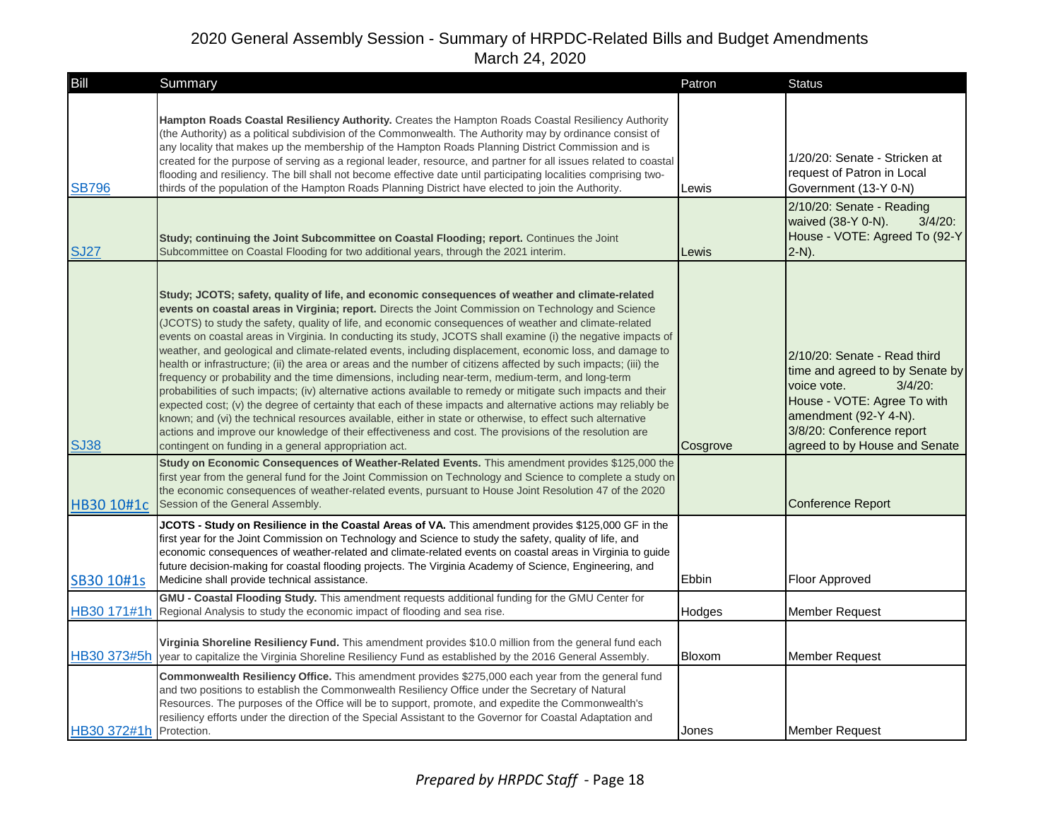| Bill         | Summary                                                                                                                                                                                                                                                                                                                                                                                                                                                                                                                                                                                                                                                                                                                                                                                                                                                                                                                                                                                                                                                                                                                                                                                                                                                                                     | Patron   | <b>Status</b>                                                                                                                                                                                                      |
|--------------|---------------------------------------------------------------------------------------------------------------------------------------------------------------------------------------------------------------------------------------------------------------------------------------------------------------------------------------------------------------------------------------------------------------------------------------------------------------------------------------------------------------------------------------------------------------------------------------------------------------------------------------------------------------------------------------------------------------------------------------------------------------------------------------------------------------------------------------------------------------------------------------------------------------------------------------------------------------------------------------------------------------------------------------------------------------------------------------------------------------------------------------------------------------------------------------------------------------------------------------------------------------------------------------------|----------|--------------------------------------------------------------------------------------------------------------------------------------------------------------------------------------------------------------------|
| <b>SB796</b> | Hampton Roads Coastal Resiliency Authority. Creates the Hampton Roads Coastal Resiliency Authority<br>(the Authority) as a political subdivision of the Commonwealth. The Authority may by ordinance consist of<br>any locality that makes up the membership of the Hampton Roads Planning District Commission and is<br>created for the purpose of serving as a regional leader, resource, and partner for all issues related to coastal<br>flooding and resiliency. The bill shall not become effective date until participating localities comprising two-<br>thirds of the population of the Hampton Roads Planning District have elected to join the Authority.<br>Study; continuing the Joint Subcommittee on Coastal Flooding; report. Continues the Joint                                                                                                                                                                                                                                                                                                                                                                                                                                                                                                                           | Lewis    | 1/20/20: Senate - Stricken at<br>request of Patron in Local<br>Government (13-Y 0-N)<br>2/10/20: Senate - Reading<br>waived (38-Y 0-N).<br>$3/4/20$ :<br>House - VOTE: Agreed To (92-Y                             |
| <b>SJ27</b>  | Subcommittee on Coastal Flooding for two additional years, through the 2021 interim.                                                                                                                                                                                                                                                                                                                                                                                                                                                                                                                                                                                                                                                                                                                                                                                                                                                                                                                                                                                                                                                                                                                                                                                                        | Lewis    | $2-N$ ).                                                                                                                                                                                                           |
| <b>SJ38</b>  | Study; JCOTS; safety, quality of life, and economic consequences of weather and climate-related<br>events on coastal areas in Virginia; report. Directs the Joint Commission on Technology and Science<br>(JCOTS) to study the safety, quality of life, and economic consequences of weather and climate-related<br>events on coastal areas in Virginia. In conducting its study, JCOTS shall examine (i) the negative impacts of<br>weather, and geological and climate-related events, including displacement, economic loss, and damage to<br>health or infrastructure; (ii) the area or areas and the number of citizens affected by such impacts; (iii) the<br>frequency or probability and the time dimensions, including near-term, medium-term, and long-term<br>probabilities of such impacts; (iv) alternative actions available to remedy or mitigate such impacts and their<br>expected cost; (v) the degree of certainty that each of these impacts and alternative actions may reliably be<br>known; and (vi) the technical resources available, either in state or otherwise, to effect such alternative<br>actions and improve our knowledge of their effectiveness and cost. The provisions of the resolution are<br>contingent on funding in a general appropriation act. | Cosgrove | 2/10/20: Senate - Read third<br>time and agreed to by Senate by<br>voice vote.<br>$3/4/20$ :<br>House - VOTE: Agree To with<br>amendment (92-Y 4-N).<br>3/8/20: Conference report<br>agreed to by House and Senate |
| HB30 10#1c   | Study on Economic Consequences of Weather-Related Events. This amendment provides \$125,000 the<br>first year from the general fund for the Joint Commission on Technology and Science to complete a study on<br>the economic consequences of weather-related events, pursuant to House Joint Resolution 47 of the 2020<br>Session of the General Assembly.                                                                                                                                                                                                                                                                                                                                                                                                                                                                                                                                                                                                                                                                                                                                                                                                                                                                                                                                 |          | <b>Conference Report</b>                                                                                                                                                                                           |
| SB30 10#1s   | JCOTS - Study on Resilience in the Coastal Areas of VA. This amendment provides \$125,000 GF in the<br>first year for the Joint Commission on Technology and Science to study the safety, quality of life, and<br>economic consequences of weather-related and climate-related events on coastal areas in Virginia to guide<br>future decision-making for coastal flooding projects. The Virginia Academy of Science, Engineering, and<br>Medicine shall provide technical assistance.                                                                                                                                                                                                                                                                                                                                                                                                                                                                                                                                                                                                                                                                                                                                                                                                      | Ebbin    | Floor Approved                                                                                                                                                                                                     |
| HB30 171#1h  | GMU - Coastal Flooding Study. This amendment requests additional funding for the GMU Center for<br>Regional Analysis to study the economic impact of flooding and sea rise.                                                                                                                                                                                                                                                                                                                                                                                                                                                                                                                                                                                                                                                                                                                                                                                                                                                                                                                                                                                                                                                                                                                 | Hodges   | <b>Member Request</b>                                                                                                                                                                                              |
| HB30 373#5h  | Virginia Shoreline Resiliency Fund. This amendment provides \$10.0 million from the general fund each<br>year to capitalize the Virginia Shoreline Resiliency Fund as established by the 2016 General Assembly.                                                                                                                                                                                                                                                                                                                                                                                                                                                                                                                                                                                                                                                                                                                                                                                                                                                                                                                                                                                                                                                                             | Bloxom   | <b>Member Request</b>                                                                                                                                                                                              |
| HB30 372#1h  | Commonwealth Resiliency Office. This amendment provides \$275,000 each year from the general fund<br>and two positions to establish the Commonwealth Resiliency Office under the Secretary of Natural<br>Resources. The purposes of the Office will be to support, promote, and expedite the Commonwealth's<br>resiliency efforts under the direction of the Special Assistant to the Governor for Coastal Adaptation and<br>Protection.                                                                                                                                                                                                                                                                                                                                                                                                                                                                                                                                                                                                                                                                                                                                                                                                                                                    | Jones    | Member Request                                                                                                                                                                                                     |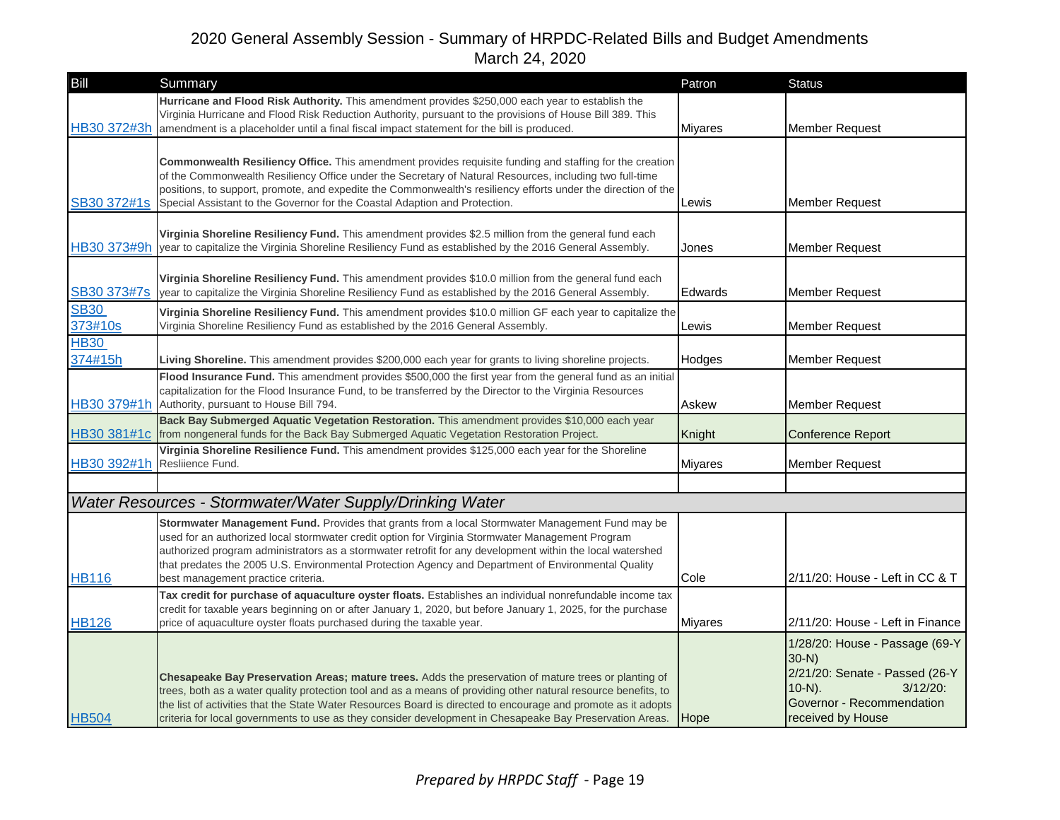| Bill                   | Summary                                                                                                                                                                                                                                                                                                                                                                                                                                                                                                                   | Patron         | <b>Status</b>                                                                                                                                            |
|------------------------|---------------------------------------------------------------------------------------------------------------------------------------------------------------------------------------------------------------------------------------------------------------------------------------------------------------------------------------------------------------------------------------------------------------------------------------------------------------------------------------------------------------------------|----------------|----------------------------------------------------------------------------------------------------------------------------------------------------------|
| HB30 372#3h            | Hurricane and Flood Risk Authority. This amendment provides \$250,000 each year to establish the<br>Virginia Hurricane and Flood Risk Reduction Authority, pursuant to the provisions of House Bill 389. This<br>amendment is a placeholder until a final fiscal impact statement for the bill is produced.                                                                                                                                                                                                               | <b>Miyares</b> | <b>Member Request</b>                                                                                                                                    |
| SB30 372#1s            | Commonwealth Resiliency Office. This amendment provides requisite funding and staffing for the creation<br>of the Commonwealth Resiliency Office under the Secretary of Natural Resources, including two full-time<br>positions, to support, promote, and expedite the Commonwealth's resiliency efforts under the direction of the<br>Special Assistant to the Governor for the Coastal Adaption and Protection.                                                                                                         | Lewis          | <b>Member Request</b>                                                                                                                                    |
| HB30 373#9h            | Virginia Shoreline Resiliency Fund. This amendment provides \$2.5 million from the general fund each<br>year to capitalize the Virginia Shoreline Resiliency Fund as established by the 2016 General Assembly.                                                                                                                                                                                                                                                                                                            | Jones          | <b>Member Request</b>                                                                                                                                    |
| SB30 373#7s            | Virginia Shoreline Resiliency Fund. This amendment provides \$10.0 million from the general fund each<br>year to capitalize the Virginia Shoreline Resiliency Fund as established by the 2016 General Assembly.                                                                                                                                                                                                                                                                                                           | Edwards        | <b>Member Request</b>                                                                                                                                    |
| <b>SB30</b><br>373#10s | Virginia Shoreline Resiliency Fund. This amendment provides \$10.0 million GF each year to capitalize the<br>Virginia Shoreline Resiliency Fund as established by the 2016 General Assembly.                                                                                                                                                                                                                                                                                                                              | Lewis          | <b>Member Request</b>                                                                                                                                    |
| <b>HB30</b><br>374#15h | Living Shoreline. This amendment provides \$200,000 each year for grants to living shoreline projects.                                                                                                                                                                                                                                                                                                                                                                                                                    | Hodges         | <b>Member Request</b>                                                                                                                                    |
| HB30 379#1h            | Flood Insurance Fund. This amendment provides \$500,000 the first year from the general fund as an initial<br>capitalization for the Flood Insurance Fund, to be transferred by the Director to the Virginia Resources<br>Authority, pursuant to House Bill 794.                                                                                                                                                                                                                                                          | Askew          | <b>Member Request</b>                                                                                                                                    |
|                        | Back Bay Submerged Aquatic Vegetation Restoration. This amendment provides \$10,000 each year<br>HB30 381#1c from nongeneral funds for the Back Bay Submerged Aquatic Vegetation Restoration Project.                                                                                                                                                                                                                                                                                                                     | Knight         | <b>Conference Report</b>                                                                                                                                 |
| HB30 392#1h            | Virginia Shoreline Resilience Fund. This amendment provides \$125,000 each year for the Shoreline<br>Reslijence Fund.                                                                                                                                                                                                                                                                                                                                                                                                     | <b>Miyares</b> | Member Request                                                                                                                                           |
|                        |                                                                                                                                                                                                                                                                                                                                                                                                                                                                                                                           |                |                                                                                                                                                          |
| <b>HB116</b>           | Water Resources - Stormwater/Water Supply/Drinking Water<br>Stormwater Management Fund. Provides that grants from a local Stormwater Management Fund may be<br>used for an authorized local stormwater credit option for Virginia Stormwater Management Program<br>authorized program administrators as a stormwater retrofit for any development within the local watershed<br>that predates the 2005 U.S. Environmental Protection Agency and Department of Environmental Quality<br>best management practice criteria. | Cole           | 2/11/20: House - Left in CC & T                                                                                                                          |
| <b>HB126</b>           | Tax credit for purchase of aquaculture oyster floats. Establishes an individual nonrefundable income tax<br>credit for taxable years beginning on or after January 1, 2020, but before January 1, 2025, for the purchase<br>price of aquaculture oyster floats purchased during the taxable year.                                                                                                                                                                                                                         | Miyares        | 2/11/20: House - Left in Finance                                                                                                                         |
| <b>HB504</b>           | <b>Chesapeake Bay Preservation Areas; mature trees.</b> Adds the preservation of mature trees or planting of<br>trees, both as a water quality protection tool and as a means of providing other natural resource benefits, to<br>the list of activities that the State Water Resources Board is directed to encourage and promote as it adopts<br>criteria for local governments to use as they consider development in Chesapeake Bay Preservation Areas.                                                               | <b>Hope</b>    | 1/28/20: House - Passage (69-Y<br>$30-N$<br>2/21/20: Senate - Passed (26-Y<br>$3/12/20$ :<br>$10-N$ ).<br>Governor - Recommendation<br>received by House |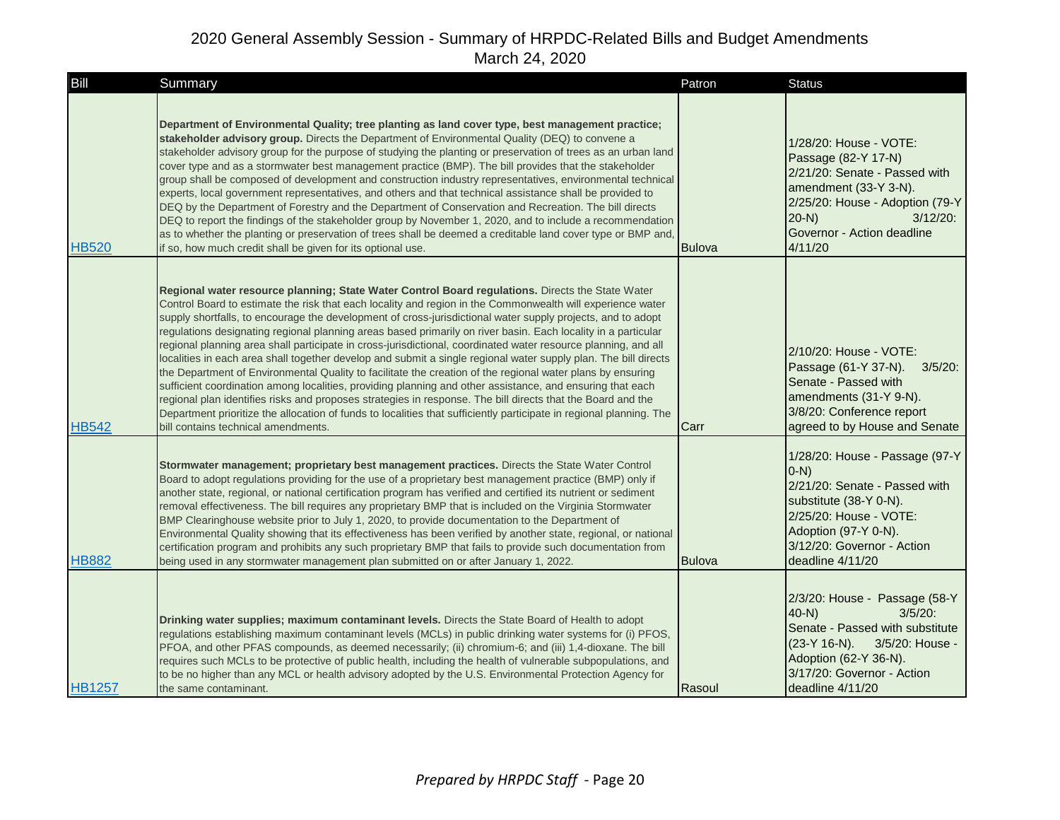| Bill          | Summary                                                                                                                                                                                                                                                                                                                                                                                                                                                                                                                                                                                                                                                                                                                                                                                                                                                                                                                                                                                                                                                                                                                                                                                     | Patron | <b>Status</b>                                                                                                                                                                                                |
|---------------|---------------------------------------------------------------------------------------------------------------------------------------------------------------------------------------------------------------------------------------------------------------------------------------------------------------------------------------------------------------------------------------------------------------------------------------------------------------------------------------------------------------------------------------------------------------------------------------------------------------------------------------------------------------------------------------------------------------------------------------------------------------------------------------------------------------------------------------------------------------------------------------------------------------------------------------------------------------------------------------------------------------------------------------------------------------------------------------------------------------------------------------------------------------------------------------------|--------|--------------------------------------------------------------------------------------------------------------------------------------------------------------------------------------------------------------|
| <b>HB520</b>  | Department of Environmental Quality; tree planting as land cover type, best management practice;<br>stakeholder advisory group. Directs the Department of Environmental Quality (DEQ) to convene a<br>stakeholder advisory group for the purpose of studying the planting or preservation of trees as an urban land<br>cover type and as a stormwater best management practice (BMP). The bill provides that the stakeholder<br>group shall be composed of development and construction industry representatives, environmental technical<br>experts, local government representatives, and others and that technical assistance shall be provided to<br>DEQ by the Department of Forestry and the Department of Conservation and Recreation. The bill directs<br>DEQ to report the findings of the stakeholder group by November 1, 2020, and to include a recommendation<br>as to whether the planting or preservation of trees shall be deemed a creditable land cover type or BMP and,<br>if so, how much credit shall be given for its optional use.                                                                                                                                   | Bulova | 1/28/20: House - VOTE:<br>Passage (82-Y 17-N)<br>2/21/20: Senate - Passed with<br>amendment (33-Y 3-N).<br>2/25/20: House - Adoption (79-Y<br>$20-N$<br>$3/12/20$ :<br>Governor - Action deadline<br>4/11/20 |
| <b>HB542</b>  | Regional water resource planning; State Water Control Board regulations. Directs the State Water<br>Control Board to estimate the risk that each locality and region in the Commonwealth will experience water<br>supply shortfalls, to encourage the development of cross-jurisdictional water supply projects, and to adopt<br>regulations designating regional planning areas based primarily on river basin. Each locality in a particular<br>regional planning area shall participate in cross-jurisdictional, coordinated water resource planning, and all<br>localities in each area shall together develop and submit a single regional water supply plan. The bill directs<br>the Department of Environmental Quality to facilitate the creation of the regional water plans by ensuring<br>sufficient coordination among localities, providing planning and other assistance, and ensuring that each<br>regional plan identifies risks and proposes strategies in response. The bill directs that the Board and the<br>Department prioritize the allocation of funds to localities that sufficiently participate in regional planning. The<br>bill contains technical amendments. | Carr   | 2/10/20: House - VOTE:<br>Passage (61-Y 37-N). 3/5/20:<br>Senate - Passed with<br>amendments (31-Y 9-N).<br>3/8/20: Conference report<br>agreed to by House and Senate                                       |
| <b>HB882</b>  | Stormwater management; proprietary best management practices. Directs the State Water Control<br>Board to adopt regulations providing for the use of a proprietary best management practice (BMP) only if<br>another state, regional, or national certification program has verified and certified its nutrient or sediment<br>removal effectiveness. The bill requires any proprietary BMP that is included on the Virginia Stormwater<br>BMP Clearinghouse website prior to July 1, 2020, to provide documentation to the Department of<br>Environmental Quality showing that its effectiveness has been verified by another state, regional, or national<br>certification program and prohibits any such proprietary BMP that fails to provide such documentation from<br>being used in any stormwater management plan submitted on or after January 1, 2022.                                                                                                                                                                                                                                                                                                                            | Bulova | 1/28/20: House - Passage (97-Y<br>$(0-N)$<br>2/21/20: Senate - Passed with<br>substitute (38-Y 0-N).<br>2/25/20: House - VOTE:<br>Adoption (97-Y 0-N).<br>3/12/20: Governor - Action<br>deadline 4/11/20     |
| <b>HB1257</b> | Drinking water supplies; maximum contaminant levels. Directs the State Board of Health to adopt<br>regulations establishing maximum contaminant levels (MCLs) in public drinking water systems for (i) PFOS,<br>PFOA, and other PFAS compounds, as deemed necessarily; (ii) chromium-6; and (iii) 1,4-dioxane. The bill<br>requires such MCLs to be protective of public health, including the health of vulnerable subpopulations, and<br>to be no higher than any MCL or health advisory adopted by the U.S. Environmental Protection Agency for<br>the same contaminant.                                                                                                                                                                                                                                                                                                                                                                                                                                                                                                                                                                                                                 | Rasoul | 2/3/20: House - Passage (58-Y<br>$40-N$<br>$3/5/20$ :<br>Senate - Passed with substitute<br>(23-Y 16-N).<br>3/5/20: House -<br>Adoption (62-Y 36-N).<br>3/17/20: Governor - Action<br>deadline 4/11/20       |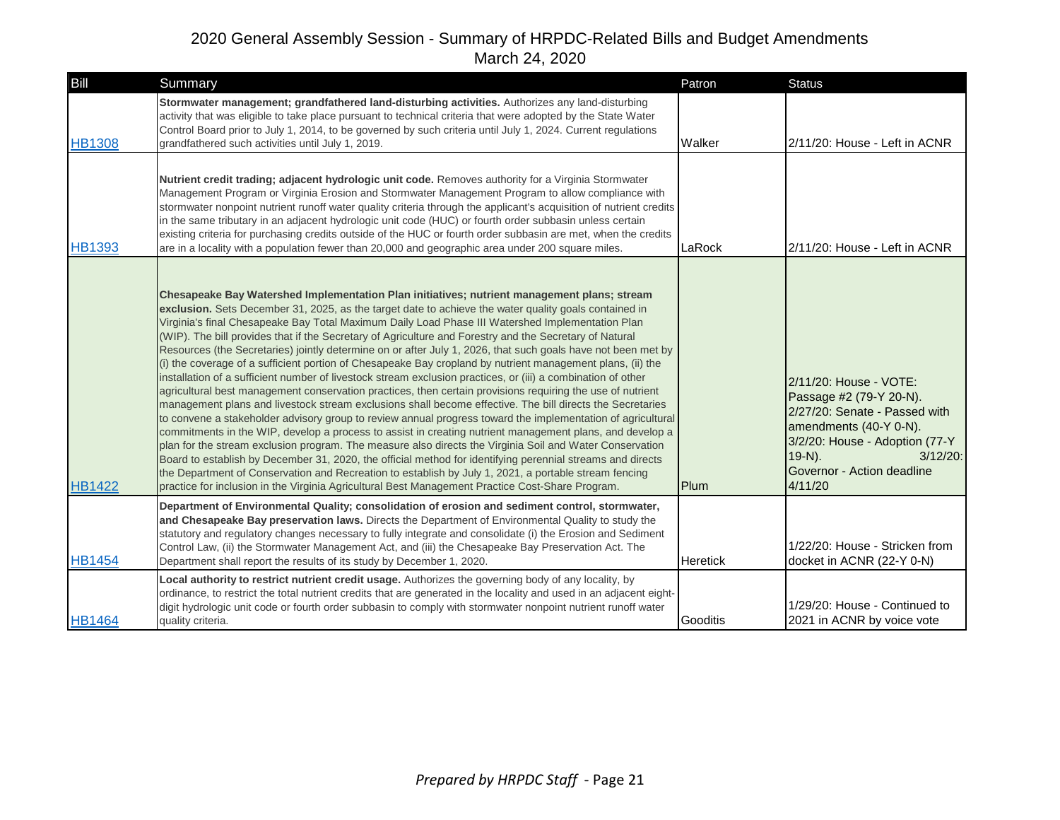| Bill          | Summary                                                                                                                                                                                                                                                                                                                                                                                                                                                                                                                                                                                                                                                                                                                                                                                                                                                                                                                                                                                                                                                                                                                                                                                                                                                                                                                                                                                                                                                                                                                                                                                                                                                        | Patron          | <b>Status</b>                                                                                                                                                                                                       |
|---------------|----------------------------------------------------------------------------------------------------------------------------------------------------------------------------------------------------------------------------------------------------------------------------------------------------------------------------------------------------------------------------------------------------------------------------------------------------------------------------------------------------------------------------------------------------------------------------------------------------------------------------------------------------------------------------------------------------------------------------------------------------------------------------------------------------------------------------------------------------------------------------------------------------------------------------------------------------------------------------------------------------------------------------------------------------------------------------------------------------------------------------------------------------------------------------------------------------------------------------------------------------------------------------------------------------------------------------------------------------------------------------------------------------------------------------------------------------------------------------------------------------------------------------------------------------------------------------------------------------------------------------------------------------------------|-----------------|---------------------------------------------------------------------------------------------------------------------------------------------------------------------------------------------------------------------|
| <b>HB1308</b> | Stormwater management; grandfathered land-disturbing activities. Authorizes any land-disturbing<br>activity that was eligible to take place pursuant to technical criteria that were adopted by the State Water<br>Control Board prior to July 1, 2014, to be governed by such criteria until July 1, 2024. Current regulations<br>grandfathered such activities until July 1, 2019.                                                                                                                                                                                                                                                                                                                                                                                                                                                                                                                                                                                                                                                                                                                                                                                                                                                                                                                                                                                                                                                                                                                                                                                                                                                                           | Walker          | 2/11/20: House - Left in ACNR                                                                                                                                                                                       |
| <b>HB1393</b> | Nutrient credit trading; adjacent hydrologic unit code. Removes authority for a Virginia Stormwater<br>Management Program or Virginia Erosion and Stormwater Management Program to allow compliance with<br>stormwater nonpoint nutrient runoff water quality criteria through the applicant's acquisition of nutrient credits<br>in the same tributary in an adjacent hydrologic unit code (HUC) or fourth order subbasin unless certain<br>existing criteria for purchasing credits outside of the HUC or fourth order subbasin are met, when the credits<br>are in a locality with a population fewer than 20,000 and geographic area under 200 square miles.                                                                                                                                                                                                                                                                                                                                                                                                                                                                                                                                                                                                                                                                                                                                                                                                                                                                                                                                                                                               | LaRock          | 2/11/20: House - Left in ACNR                                                                                                                                                                                       |
| <b>HB1422</b> | Chesapeake Bay Watershed Implementation Plan initiatives; nutrient management plans; stream<br>exclusion. Sets December 31, 2025, as the target date to achieve the water quality goals contained in<br>Virginia's final Chesapeake Bay Total Maximum Daily Load Phase III Watershed Implementation Plan<br>(WIP). The bill provides that if the Secretary of Agriculture and Forestry and the Secretary of Natural<br>Resources (the Secretaries) jointly determine on or after July 1, 2026, that such goals have not been met by<br>(i) the coverage of a sufficient portion of Chesapeake Bay cropland by nutrient management plans, (ii) the<br>installation of a sufficient number of livestock stream exclusion practices, or (iii) a combination of other<br>agricultural best management conservation practices, then certain provisions requiring the use of nutrient<br>management plans and livestock stream exclusions shall become effective. The bill directs the Secretaries<br>to convene a stakeholder advisory group to review annual progress toward the implementation of agricultural<br>commitments in the WIP, develop a process to assist in creating nutrient management plans, and develop a<br>plan for the stream exclusion program. The measure also directs the Virginia Soil and Water Conservation<br>Board to establish by December 31, 2020, the official method for identifying perennial streams and directs<br>the Department of Conservation and Recreation to establish by July 1, 2021, a portable stream fencing<br>practice for inclusion in the Virginia Agricultural Best Management Practice Cost-Share Program. | Plum            | 2/11/20: House - VOTE:<br>Passage #2 (79-Y 20-N).<br>2/27/20: Senate - Passed with<br>amendments (40-Y 0-N).<br>3/2/20: House - Adoption (77-Y<br>$19-N$ ).<br>$3/12/20$ :<br>Governor - Action deadline<br>4/11/20 |
| <b>HB1454</b> | Department of Environmental Quality; consolidation of erosion and sediment control, stormwater,<br>and Chesapeake Bay preservation laws. Directs the Department of Environmental Quality to study the<br>statutory and regulatory changes necessary to fully integrate and consolidate (i) the Erosion and Sediment<br>Control Law, (ii) the Stormwater Management Act, and (iii) the Chesapeake Bay Preservation Act. The<br>Department shall report the results of its study by December 1, 2020.                                                                                                                                                                                                                                                                                                                                                                                                                                                                                                                                                                                                                                                                                                                                                                                                                                                                                                                                                                                                                                                                                                                                                            | <b>Heretick</b> | 1/22/20: House - Stricken from<br>docket in ACNR (22-Y 0-N)                                                                                                                                                         |
| <b>HB1464</b> | Local authority to restrict nutrient credit usage. Authorizes the governing body of any locality, by<br>ordinance, to restrict the total nutrient credits that are generated in the locality and used in an adjacent eight-<br>digit hydrologic unit code or fourth order subbasin to comply with stormwater nonpoint nutrient runoff water<br>quality criteria.                                                                                                                                                                                                                                                                                                                                                                                                                                                                                                                                                                                                                                                                                                                                                                                                                                                                                                                                                                                                                                                                                                                                                                                                                                                                                               | Gooditis        | 1/29/20: House - Continued to<br>2021 in ACNR by voice vote                                                                                                                                                         |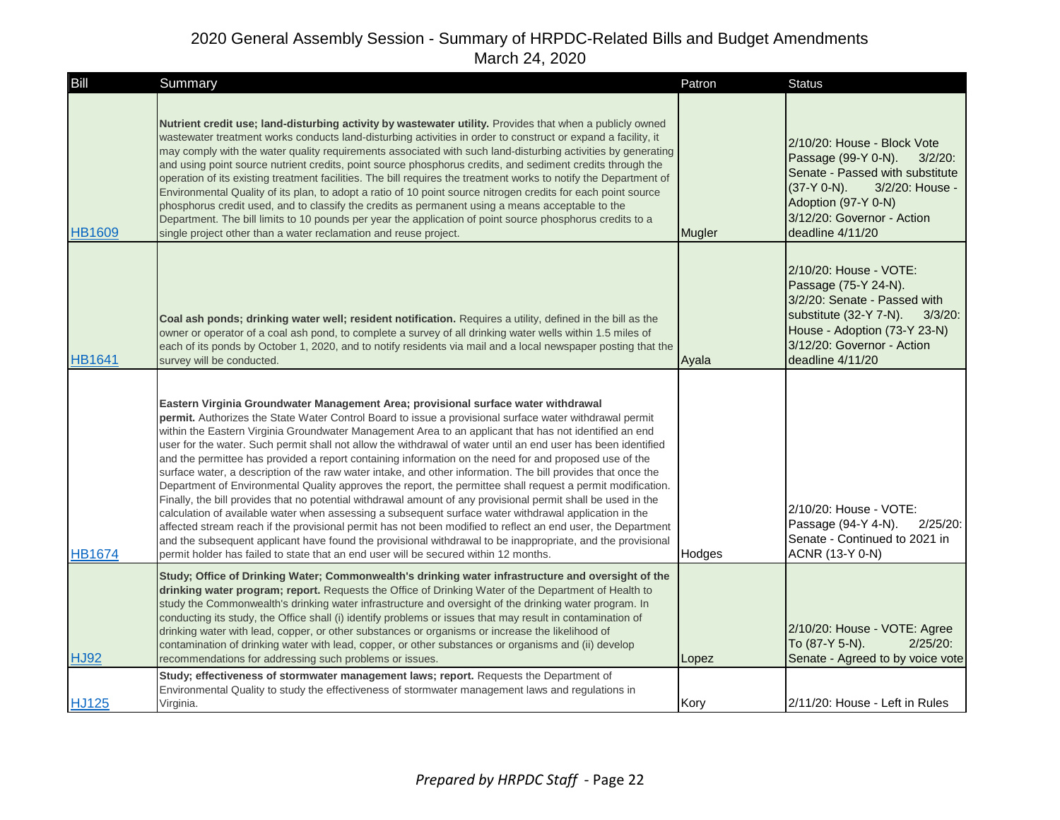| Bill          | Summary                                                                                                                                                                                                                                                                                                                                                                                                                                                                                                                                                                                                                                                                                                                                                                                                                                                                                                                                                                                                                                                                                                                                                                                                                                                                                                             | Patron | <b>Status</b>                                                                                                                                                                                                     |
|---------------|---------------------------------------------------------------------------------------------------------------------------------------------------------------------------------------------------------------------------------------------------------------------------------------------------------------------------------------------------------------------------------------------------------------------------------------------------------------------------------------------------------------------------------------------------------------------------------------------------------------------------------------------------------------------------------------------------------------------------------------------------------------------------------------------------------------------------------------------------------------------------------------------------------------------------------------------------------------------------------------------------------------------------------------------------------------------------------------------------------------------------------------------------------------------------------------------------------------------------------------------------------------------------------------------------------------------|--------|-------------------------------------------------------------------------------------------------------------------------------------------------------------------------------------------------------------------|
| <b>HB1609</b> | Nutrient credit use; land-disturbing activity by wastewater utility. Provides that when a publicly owned<br>wastewater treatment works conducts land-disturbing activities in order to construct or expand a facility, it<br>may comply with the water quality requirements associated with such land-disturbing activities by generating<br>and using point source nutrient credits, point source phosphorus credits, and sediment credits through the<br>operation of its existing treatment facilities. The bill requires the treatment works to notify the Department of<br>Environmental Quality of its plan, to adopt a ratio of 10 point source nitrogen credits for each point source<br>phosphorus credit used, and to classify the credits as permanent using a means acceptable to the<br>Department. The bill limits to 10 pounds per year the application of point source phosphorus credits to a<br>single project other than a water reclamation and reuse project.                                                                                                                                                                                                                                                                                                                                  | Mugler | 2/10/20: House - Block Vote<br>Passage (99-Y 0-N).<br>$3/2/20$ :<br>Senate - Passed with substitute<br>$(37-Y 0-N)$ .<br>3/2/20: House -<br>Adoption (97-Y 0-N)<br>3/12/20: Governor - Action<br>deadline 4/11/20 |
| <b>HB1641</b> | Coal ash ponds; drinking water well; resident notification. Requires a utility, defined in the bill as the<br>owner or operator of a coal ash pond, to complete a survey of all drinking water wells within 1.5 miles of<br>each of its ponds by October 1, 2020, and to notify residents via mail and a local newspaper posting that the<br>survey will be conducted.                                                                                                                                                                                                                                                                                                                                                                                                                                                                                                                                                                                                                                                                                                                                                                                                                                                                                                                                              | Ayala  | 2/10/20: House - VOTE:<br>Passage (75-Y 24-N).<br>3/2/20: Senate - Passed with<br>substitute (32-Y 7-N).<br>$3/3/20$ :<br>House - Adoption (73-Y 23-N)<br>3/12/20: Governor - Action<br>deadline 4/11/20          |
| <b>HB1674</b> | Eastern Virginia Groundwater Management Area; provisional surface water withdrawal<br>permit. Authorizes the State Water Control Board to issue a provisional surface water withdrawal permit<br>within the Eastern Virginia Groundwater Management Area to an applicant that has not identified an end<br>user for the water. Such permit shall not allow the withdrawal of water until an end user has been identified<br>and the permittee has provided a report containing information on the need for and proposed use of the<br>surface water, a description of the raw water intake, and other information. The bill provides that once the<br>Department of Environmental Quality approves the report, the permittee shall request a permit modification.<br>Finally, the bill provides that no potential withdrawal amount of any provisional permit shall be used in the<br>calculation of available water when assessing a subsequent surface water withdrawal application in the<br>affected stream reach if the provisional permit has not been modified to reflect an end user, the Department<br>and the subsequent applicant have found the provisional withdrawal to be inappropriate, and the provisional<br>permit holder has failed to state that an end user will be secured within 12 months. | Hodges | 2/10/20: House - VOTE:<br>Passage (94-Y 4-N).<br>$2/25/20$ :<br>Senate - Continued to 2021 in<br>ACNR (13-Y 0-N)                                                                                                  |
| <b>HJ92</b>   | Study; Office of Drinking Water; Commonwealth's drinking water infrastructure and oversight of the<br>drinking water program; report. Requests the Office of Drinking Water of the Department of Health to<br>study the Commonwealth's drinking water infrastructure and oversight of the drinking water program. In<br>conducting its study, the Office shall (i) identify problems or issues that may result in contamination of<br>drinking water with lead, copper, or other substances or organisms or increase the likelihood of<br>contamination of drinking water with lead, copper, or other substances or organisms and (ii) develop<br>recommendations for addressing such problems or issues.                                                                                                                                                                                                                                                                                                                                                                                                                                                                                                                                                                                                           | Lopez  | 2/10/20: House - VOTE: Agree<br>To (87-Y 5-N).<br>$2/25/20$ :<br>Senate - Agreed to by voice vote                                                                                                                 |
| <b>HJ125</b>  | Study; effectiveness of stormwater management laws; report. Requests the Department of<br>Environmental Quality to study the effectiveness of stormwater management laws and regulations in<br>Virginia.                                                                                                                                                                                                                                                                                                                                                                                                                                                                                                                                                                                                                                                                                                                                                                                                                                                                                                                                                                                                                                                                                                            | Kory   | 2/11/20: House - Left in Rules                                                                                                                                                                                    |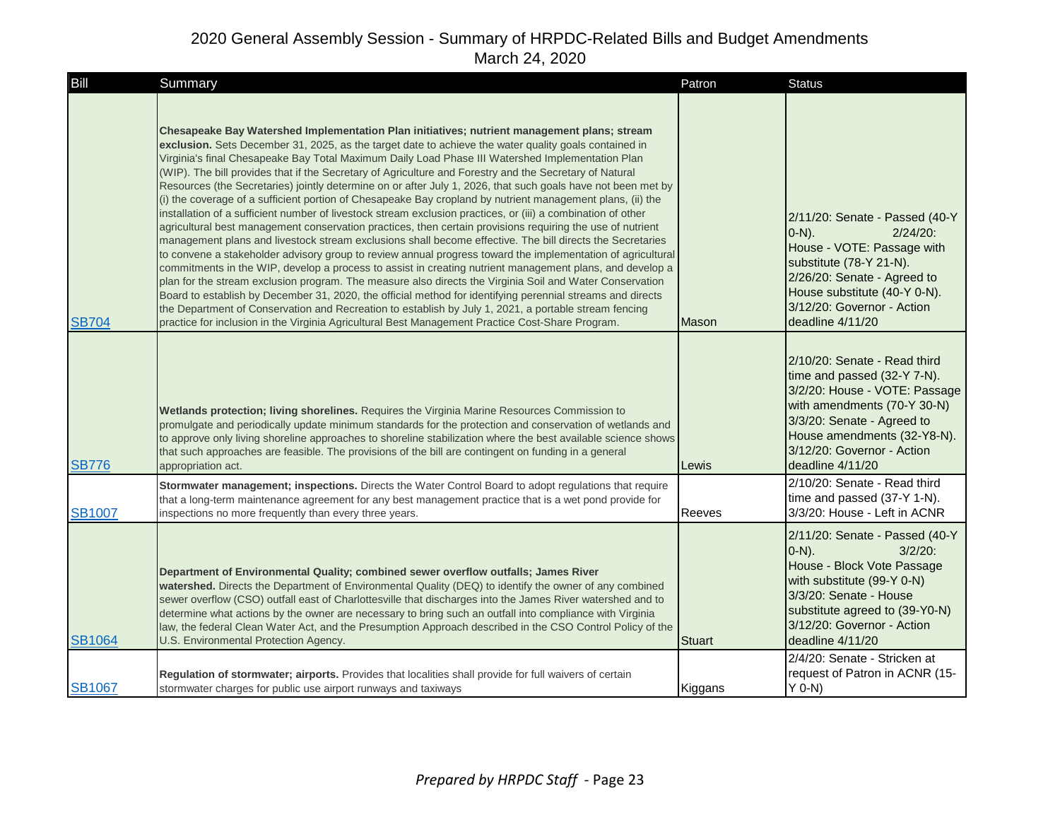| Bill          | Summary                                                                                                                                                                                                                                                                                                                                                                                                                                                                                                                                                                                                                                                                                                                                                                                                                                                                                                                                                                                                                                                                                                                                                                                                                                                                                                                                                                                                                                                                                                                                                                                                                                                        | Patron        | <b>Status</b>                                                                                                                                                                                                                              |
|---------------|----------------------------------------------------------------------------------------------------------------------------------------------------------------------------------------------------------------------------------------------------------------------------------------------------------------------------------------------------------------------------------------------------------------------------------------------------------------------------------------------------------------------------------------------------------------------------------------------------------------------------------------------------------------------------------------------------------------------------------------------------------------------------------------------------------------------------------------------------------------------------------------------------------------------------------------------------------------------------------------------------------------------------------------------------------------------------------------------------------------------------------------------------------------------------------------------------------------------------------------------------------------------------------------------------------------------------------------------------------------------------------------------------------------------------------------------------------------------------------------------------------------------------------------------------------------------------------------------------------------------------------------------------------------|---------------|--------------------------------------------------------------------------------------------------------------------------------------------------------------------------------------------------------------------------------------------|
| <b>SB704</b>  | Chesapeake Bay Watershed Implementation Plan initiatives; nutrient management plans; stream<br>exclusion. Sets December 31, 2025, as the target date to achieve the water quality goals contained in<br>Virginia's final Chesapeake Bay Total Maximum Daily Load Phase III Watershed Implementation Plan<br>(WIP). The bill provides that if the Secretary of Agriculture and Forestry and the Secretary of Natural<br>Resources (the Secretaries) jointly determine on or after July 1, 2026, that such goals have not been met by<br>(i) the coverage of a sufficient portion of Chesapeake Bay cropland by nutrient management plans, (ii) the<br>installation of a sufficient number of livestock stream exclusion practices, or (iii) a combination of other<br>agricultural best management conservation practices, then certain provisions requiring the use of nutrient<br>management plans and livestock stream exclusions shall become effective. The bill directs the Secretaries<br>to convene a stakeholder advisory group to review annual progress toward the implementation of agricultural<br>commitments in the WIP, develop a process to assist in creating nutrient management plans, and develop a<br>plan for the stream exclusion program. The measure also directs the Virginia Soil and Water Conservation<br>Board to establish by December 31, 2020, the official method for identifying perennial streams and directs<br>the Department of Conservation and Recreation to establish by July 1, 2021, a portable stream fencing<br>practice for inclusion in the Virginia Agricultural Best Management Practice Cost-Share Program. | Mason         | 2/11/20: Senate - Passed (40-Y<br>$(0-N)$ .<br>$2/24/20$ :<br>House - VOTE: Passage with<br>substitute (78-Y 21-N).<br>2/26/20: Senate - Agreed to<br>House substitute (40-Y 0-N).<br>3/12/20: Governor - Action<br>deadline 4/11/20       |
| <b>SB776</b>  | Wetlands protection; living shorelines. Requires the Virginia Marine Resources Commission to<br>promulgate and periodically update minimum standards for the protection and conservation of wetlands and<br>to approve only living shoreline approaches to shoreline stabilization where the best available science shows<br>that such approaches are feasible. The provisions of the bill are contingent on funding in a general<br>appropriation act.                                                                                                                                                                                                                                                                                                                                                                                                                                                                                                                                                                                                                                                                                                                                                                                                                                                                                                                                                                                                                                                                                                                                                                                                        | Lewis         | 2/10/20: Senate - Read third<br>time and passed (32-Y 7-N).<br>3/2/20: House - VOTE: Passage<br>with amendments (70-Y 30-N)<br>3/3/20: Senate - Agreed to<br>House amendments (32-Y8-N).<br>3/12/20: Governor - Action<br>deadline 4/11/20 |
| <b>SB1007</b> | Stormwater management; inspections. Directs the Water Control Board to adopt regulations that require<br>that a long-term maintenance agreement for any best management practice that is a wet pond provide for<br>inspections no more frequently than every three years.                                                                                                                                                                                                                                                                                                                                                                                                                                                                                                                                                                                                                                                                                                                                                                                                                                                                                                                                                                                                                                                                                                                                                                                                                                                                                                                                                                                      | Reeves        | 2/10/20: Senate - Read third<br>time and passed (37-Y 1-N).<br>3/3/20: House - Left in ACNR                                                                                                                                                |
| <b>SB1064</b> | Department of Environmental Quality; combined sewer overflow outfalls; James River<br>watershed. Directs the Department of Environmental Quality (DEQ) to identify the owner of any combined<br>sewer overflow (CSO) outfall east of Charlottesville that discharges into the James River watershed and to<br>determine what actions by the owner are necessary to bring such an outfall into compliance with Virginia<br>law, the federal Clean Water Act, and the Presumption Approach described in the CSO Control Policy of the<br>U.S. Environmental Protection Agency.                                                                                                                                                                                                                                                                                                                                                                                                                                                                                                                                                                                                                                                                                                                                                                                                                                                                                                                                                                                                                                                                                   | <b>Stuart</b> | 2/11/20: Senate - Passed (40-Y<br>$[0-N]$ .<br>$3/2/20$ :<br>House - Block Vote Passage<br>with substitute (99-Y 0-N)<br>3/3/20: Senate - House<br>substitute agreed to (39-Y0-N)<br>3/12/20: Governor - Action<br>deadline 4/11/20        |
| <b>SB1067</b> | Regulation of stormwater; airports. Provides that localities shall provide for full waivers of certain<br>stormwater charges for public use airport runways and taxiways                                                                                                                                                                                                                                                                                                                                                                                                                                                                                                                                                                                                                                                                                                                                                                                                                                                                                                                                                                                                                                                                                                                                                                                                                                                                                                                                                                                                                                                                                       | Kiggans       | 2/4/20: Senate - Stricken at<br>request of Patron in ACNR (15-<br>$Y$ 0-N)                                                                                                                                                                 |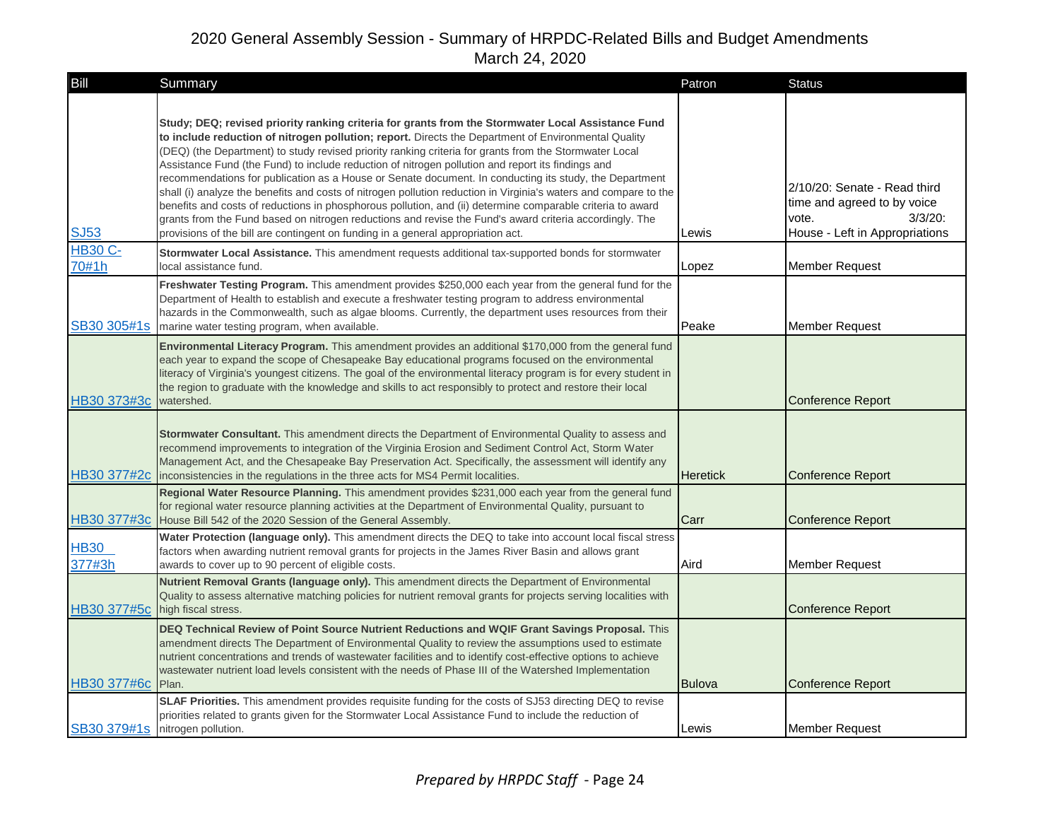| Bill                    | Summary                                                                                                                                                                                                                                                                                                                                                                                                                                                                                                                                                                                                                                                                                                                                                                                                                                                                                                                                                             | Patron          | <b>Status</b>                                                                                                        |
|-------------------------|---------------------------------------------------------------------------------------------------------------------------------------------------------------------------------------------------------------------------------------------------------------------------------------------------------------------------------------------------------------------------------------------------------------------------------------------------------------------------------------------------------------------------------------------------------------------------------------------------------------------------------------------------------------------------------------------------------------------------------------------------------------------------------------------------------------------------------------------------------------------------------------------------------------------------------------------------------------------|-----------------|----------------------------------------------------------------------------------------------------------------------|
| <b>SJ53</b>             | Study; DEQ; revised priority ranking criteria for grants from the Stormwater Local Assistance Fund<br>to include reduction of nitrogen pollution; report. Directs the Department of Environmental Quality<br>(DEQ) (the Department) to study revised priority ranking criteria for grants from the Stormwater Local<br>Assistance Fund (the Fund) to include reduction of nitrogen pollution and report its findings and<br>recommendations for publication as a House or Senate document. In conducting its study, the Department<br>shall (i) analyze the benefits and costs of nitrogen pollution reduction in Virginia's waters and compare to the<br>benefits and costs of reductions in phosphorous pollution, and (ii) determine comparable criteria to award<br>grants from the Fund based on nitrogen reductions and revise the Fund's award criteria accordingly. The<br>provisions of the bill are contingent on funding in a general appropriation act. | Lewis           | 2/10/20: Senate - Read third<br>time and agreed to by voice<br>$3/3/20$ :<br>vote.<br>House - Left in Appropriations |
| <b>HB30 C-</b><br>70#1h | <b>Stormwater Local Assistance.</b> This amendment requests additional tax-supported bonds for stormwater<br>local assistance fund.                                                                                                                                                                                                                                                                                                                                                                                                                                                                                                                                                                                                                                                                                                                                                                                                                                 | Lopez           | <b>Member Request</b>                                                                                                |
| SB30 305#1s             | Freshwater Testing Program. This amendment provides \$250,000 each year from the general fund for the<br>Department of Health to establish and execute a freshwater testing program to address environmental<br>hazards in the Commonwealth, such as algae blooms. Currently, the department uses resources from their<br>marine water testing program, when available.                                                                                                                                                                                                                                                                                                                                                                                                                                                                                                                                                                                             | Peake           | <b>Member Request</b>                                                                                                |
| HB30 373#3c             | Environmental Literacy Program. This amendment provides an additional \$170,000 from the general fund<br>each year to expand the scope of Chesapeake Bay educational programs focused on the environmental<br>literacy of Virginia's youngest citizens. The goal of the environmental literacy program is for every student in<br>the region to graduate with the knowledge and skills to act responsibly to protect and restore their local<br>watershed.                                                                                                                                                                                                                                                                                                                                                                                                                                                                                                          |                 | <b>Conference Report</b>                                                                                             |
| HB30 377#2c             | Stormwater Consultant. This amendment directs the Department of Environmental Quality to assess and<br>recommend improvements to integration of the Virginia Erosion and Sediment Control Act, Storm Water<br>Management Act, and the Chesapeake Bay Preservation Act. Specifically, the assessment will identify any<br>inconsistencies in the regulations in the three acts for MS4 Permit localities.                                                                                                                                                                                                                                                                                                                                                                                                                                                                                                                                                            | <b>Heretick</b> | <b>Conference Report</b>                                                                                             |
| HB30 377#3c             | Regional Water Resource Planning. This amendment provides \$231,000 each year from the general fund<br>for regional water resource planning activities at the Department of Environmental Quality, pursuant to<br>House Bill 542 of the 2020 Session of the General Assembly.                                                                                                                                                                                                                                                                                                                                                                                                                                                                                                                                                                                                                                                                                       | Carr            | Conference Report                                                                                                    |
| <b>HB30</b><br>377#3h   | Water Protection (language only). This amendment directs the DEQ to take into account local fiscal stress<br>factors when awarding nutrient removal grants for projects in the James River Basin and allows grant<br>awards to cover up to 90 percent of eligible costs.                                                                                                                                                                                                                                                                                                                                                                                                                                                                                                                                                                                                                                                                                            | Aird            | <b>Member Request</b>                                                                                                |
| HB30 377#5c             | Nutrient Removal Grants (language only). This amendment directs the Department of Environmental<br>Quality to assess alternative matching policies for nutrient removal grants for projects serving localities with<br>high fiscal stress.                                                                                                                                                                                                                                                                                                                                                                                                                                                                                                                                                                                                                                                                                                                          |                 | <b>Conference Report</b>                                                                                             |
| HB30 377#6c             | DEQ Technical Review of Point Source Nutrient Reductions and WQIF Grant Savings Proposal. This<br>amendment directs The Department of Environmental Quality to review the assumptions used to estimate<br>nutrient concentrations and trends of wastewater facilities and to identify cost-effective options to achieve<br>wastewater nutrient load levels consistent with the needs of Phase III of the Watershed Implementation<br>Plan.                                                                                                                                                                                                                                                                                                                                                                                                                                                                                                                          | <b>Bulova</b>   | <b>Conference Report</b>                                                                                             |
| SB30 379#1s             | SLAF Priorities. This amendment provides requisite funding for the costs of SJ53 directing DEQ to revise<br>priorities related to grants given for the Stormwater Local Assistance Fund to include the reduction of<br>nitrogen pollution.                                                                                                                                                                                                                                                                                                                                                                                                                                                                                                                                                                                                                                                                                                                          | Lewis           | Member Request                                                                                                       |